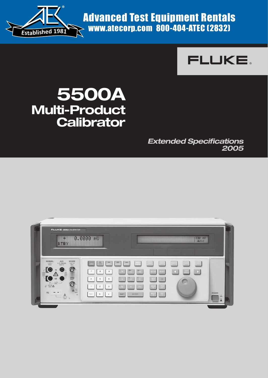

Advanced Test Equipment Rentals  $\rightarrow$  www.atecorp.com 800-404-ATEC (2832)



# **5500A Multi-Product Calibrator**

**Extended Specifications 2005**

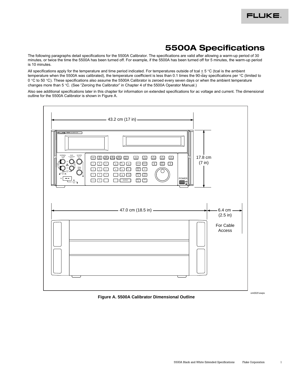## **5500A Specifications**

The following paragraphs detail specifications for the 5500A Calibrator. The specifications are valid after allowing a warm-up period of 30 minutes, or twice the time the 5500A has been turned off. For example, if the 5500A has been turned off for 5 minutes, the warm-up period is 10 minutes.

All specifications apply for the temperature and time period indicated. For temperatures outside of tcal  $\pm$  5 °C (tcal is the ambient temperature when the 5500A was calibrated), the temperature coefficient is less than 0.1 times the 90-day specifications per °C (limited to 0 °C to 50 °C). These specifications also assume the 5500A Calibrator is zeroed every seven days or when the ambient temperature changes more than 5 °C. (See "Zeroing the Calibrator" in Chapter 4 of the 5500A Operator Manual.)

Also see additional specifications later in this chapter for information on extended specifications for ac voltage and current. The dimensional outline for the 5500A Calibrator is shown in Figure A.



**Figure A. 5500A Calibrator Dimensional Outline**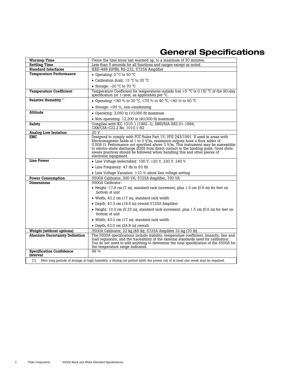## **General Specifications**

| <b>Warmup Time</b><br>Settling Time         | Twice the time since last warmed up, to a maximum of 30 minutes.<br>Less than 5 seconds for all functions and ranges except as noted.                                                                                                                                                                                                                                                                                                                           |
|---------------------------------------------|-----------------------------------------------------------------------------------------------------------------------------------------------------------------------------------------------------------------------------------------------------------------------------------------------------------------------------------------------------------------------------------------------------------------------------------------------------------------|
| <b>Standard Interfaces</b>                  | IEEE-488 (GPIB), RS-232, 5725A Amplifier                                                                                                                                                                                                                                                                                                                                                                                                                        |
| <b>Temperature Performance</b>              | • Operating: $0^{\circ}$ C to 50 $^{\circ}$ C                                                                                                                                                                                                                                                                                                                                                                                                                   |
|                                             |                                                                                                                                                                                                                                                                                                                                                                                                                                                                 |
|                                             | • Calibration (tcal): 15 °C to 35 °C                                                                                                                                                                                                                                                                                                                                                                                                                            |
|                                             | • Storage: $-20$ °C to 70 °C                                                                                                                                                                                                                                                                                                                                                                                                                                    |
| <b>Temperature Coefficient</b>              | Temperature Coefficient for temperatures outside tcal +5 $\degree$ C is 0.1X/ $\degree$ C of the 90-day<br>specification (or 1-year, as applicable) per $\degree$ C.                                                                                                                                                                                                                                                                                            |
| Relative Humidity <sup>[1]</sup>            | • Operating: <80 % to 30 °C, <70 % to 40 °C, <40 % to 50 °C                                                                                                                                                                                                                                                                                                                                                                                                     |
|                                             | • Storage: $<95\%$ , non-condensing                                                                                                                                                                                                                                                                                                                                                                                                                             |
| Altitude                                    | • Operating: $3,050$ m (10,000 ft) maximum                                                                                                                                                                                                                                                                                                                                                                                                                      |
|                                             | • Non-operating: $12,200$ m (40,000 ft) maximum                                                                                                                                                                                                                                                                                                                                                                                                                 |
| Safety                                      | Complies with IEC 1010-1 (1992-1); ANSI/ISA-S82.01-1994;<br>CAN/CSA-C22.2 No. 1010.1-92                                                                                                                                                                                                                                                                                                                                                                         |
| <b>Analog Low Isolation</b>                 | 20 V                                                                                                                                                                                                                                                                                                                                                                                                                                                            |
| <b>EMC</b>                                  | Designed to comply with FCC Rules Part 15; VFG 243/1991. If used in areas with<br>Electromagnetic fields of 1 to 3 V/m, resistance outputs have a floor adder of<br>0.508 $\Omega$ . Performance not specified above 3 V/m. This instrument may be susceptible<br>to electro-static discharge (ESD) from direct contact to the binding posts. Good static<br>aware practices should be followed when handling this and other pieces of<br>electronic equipment. |
| <b>Line Power</b>                           | • Line Voltage (selectable): 100 V, 120 V, 220 V, 240 V                                                                                                                                                                                                                                                                                                                                                                                                         |
|                                             | • Line Frequency: 47 Hz to 63 Hz                                                                                                                                                                                                                                                                                                                                                                                                                                |
|                                             | • Line Voltage Variation: $\pm 10$ % about line voltage setting                                                                                                                                                                                                                                                                                                                                                                                                 |
| <b>Power Consumption</b>                    | 5500A Calibrator, 300 VA; 5725A Amplifier, 750 VA                                                                                                                                                                                                                                                                                                                                                                                                               |
| Dimensions                                  | 5500A Calibrator:                                                                                                                                                                                                                                                                                                                                                                                                                                               |
|                                             | $\bullet$ Height: 17.8 cm (7 in), standard rack increment, plus 1.5 cm (0.6 in) for feet on<br>bottom of unit                                                                                                                                                                                                                                                                                                                                                   |
|                                             | • Width, 43.2 cm (17 in), standard rack width                                                                                                                                                                                                                                                                                                                                                                                                                   |
|                                             | • Depth: 47.3 cm (18.6 in) overall 5725A Amplifier:                                                                                                                                                                                                                                                                                                                                                                                                             |
|                                             | • Height, 13.3 cm (5.25 in), standard rack increment, plus 1.5 cm (0.6 in) for feet on<br>bottom of unit                                                                                                                                                                                                                                                                                                                                                        |
|                                             | • Width, 43.2 cm (17 in), standard rack width                                                                                                                                                                                                                                                                                                                                                                                                                   |
|                                             | $\bullet$ Depth, 63.0 cm (24.8 in) overall.                                                                                                                                                                                                                                                                                                                                                                                                                     |
| <b>Weight (without options)</b>             | 5500A Calibrator, 22 kg (49 lb); 5725A Amplifier 32 kg (70 lb)                                                                                                                                                                                                                                                                                                                                                                                                  |
| <b>Absolute Uncertainty Definition</b>      | The 5500A specifications include stability, temperature coefficient, linearity, line and<br>load requlation, and the traceability of the external standards used for calibration.<br>You do not need to add anything to determine the total specification of the 5500A for<br>the temperature range indicated.                                                                                                                                                  |
| <b>Specification Confidence</b><br>Interval | 99 %                                                                                                                                                                                                                                                                                                                                                                                                                                                            |
| [1]                                         | After long periods of storage at high humidity, a drying out period (with the power on) of at least one week may be required.                                                                                                                                                                                                                                                                                                                                   |
|                                             |                                                                                                                                                                                                                                                                                                                                                                                                                                                                 |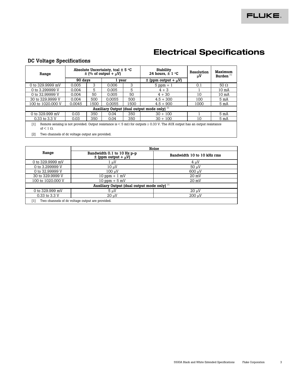## **Electrical Specifications**

#### **DC Voltage Specifications**

| Range                                                                                                                                                                      | Absolute Uncertainty, tcal $\pm$ 5 °C<br>$\pm$ (% of output + $\mu$ V) |      |        |      | <b>Stability</b><br>24 hours. $\pm$ 1 °C                | Resolution<br>μV | Maximum<br>Burden <sup>[1]</sup> |  |
|----------------------------------------------------------------------------------------------------------------------------------------------------------------------------|------------------------------------------------------------------------|------|--------|------|---------------------------------------------------------|------------------|----------------------------------|--|
|                                                                                                                                                                            | 90 days                                                                |      | l year |      | $\pm$ (ppm output + $\mu$ V)                            |                  |                                  |  |
| 0 to 329.9999 mV                                                                                                                                                           | 0.005                                                                  | 3    | 0.006  | 3    | $5$ ppm $+1$                                            | 0.1              | 50 $\Omega$                      |  |
| 0 to 3.299999 V                                                                                                                                                            | 0.004                                                                  | 5    | 0.005  | 5    | $4 + 3$                                                 |                  | 10 <sub>m</sub>                  |  |
| 0 to 32,99999 V                                                                                                                                                            | 0.004                                                                  | 50   | 0.005  | 50   | $4 + 30$                                                | 10               | 10 <sub>m</sub>                  |  |
| 30 to 329,9999 V                                                                                                                                                           | 0.004                                                                  | 500  | 0.0055 | 500  | $4.5 + 300$                                             | 100              | 5 mA                             |  |
| 100 to 1020,000 V                                                                                                                                                          | 0.0045                                                                 | 1500 | 0.0055 | 1500 | $4.5 + 900$                                             | 1000             | 5 mA                             |  |
|                                                                                                                                                                            |                                                                        |      |        |      | Auxiliary Output (dual output mode only) <sup>[2]</sup> |                  |                                  |  |
| 0 to 329.999 mV                                                                                                                                                            | 0.03                                                                   | 350  | 0.04   | 350  | $30 + 100$                                              |                  | 5 mA                             |  |
| 0.33 to 3.3 V                                                                                                                                                              | 0.03                                                                   | 350  | 0.04   | 350  | $30 + 100$                                              | 10               | 5 mA                             |  |
| Remote sensing is not provided. Output resistance is $\leq 5$ m $\Omega$ for outputs $\geq 0.33$ V. The AUX output has an output resistance<br>[1]<br>of $\leq 1 \Omega$ . |                                                                        |      |        |      |                                                         |                  |                                  |  |
| [2]<br>Two channels of dc voltage output are provided.                                                                                                                     |                                                                        |      |        |      |                                                         |                  |                                  |  |

|                   | <b>Noise</b>                                               |                            |
|-------------------|------------------------------------------------------------|----------------------------|
| Range             | Bandwidth 0.1 to 10 Hz p-p<br>$\pm$ (ppm output + $\mu$ V) | Bandwidth 10 to 10 kHz rms |
| 0 to 329.9999 mV  | 1 µV                                                       | $4 \mu V$                  |
| 0 to 3.299999 V   | 10 uV                                                      | $50 \mu V$                 |
| 0 to 32,99999 V   | 100 uV                                                     | 600 uV                     |
| 30 to 329,9999 V  | $10$ ppm $+1$ mV                                           | $20 \text{ mV}$            |
| 100 to 1020,000 V | $10$ ppm $+5$ mV                                           | $20 \text{ mV}$            |
|                   | Auxiliary Output (dual output mode only) <sup>[1]</sup>    |                            |
| 0 to 329.999 mV   | 5uV                                                        | $20 \mu V$                 |
| 0.33 to 3.3 V     | $20 \mu V$                                                 | $200 \text{ uV}$           |
| $[1]$             | Two channels of dc voltage output are provided.            |                            |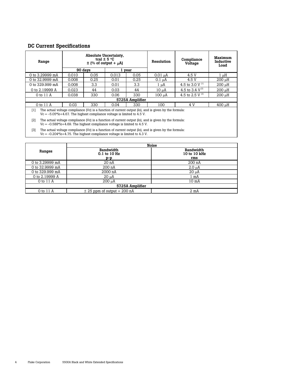### **DC Current Specifications**

| Absolute Uncertainty,<br>tcal $\pm$ 5 °C<br>Range<br>$\pm$ (% of output + $\mu$ A)               |                                                                                                                                                                                      |                  |             | Resolution      | Compliance<br>Voltage                                                                                 | Maximum<br>Inductive<br>Load |           |  |  |
|--------------------------------------------------------------------------------------------------|--------------------------------------------------------------------------------------------------------------------------------------------------------------------------------------|------------------|-------------|-----------------|-------------------------------------------------------------------------------------------------------|------------------------------|-----------|--|--|
|                                                                                                  |                                                                                                                                                                                      | 90 days          |             | l year          |                                                                                                       |                              |           |  |  |
| 0 to 3.29999 mA                                                                                  | 0.010                                                                                                                                                                                | 0.05             | 0.013       | 0.05            | $0.01 \mu A$                                                                                          | 4.5 V                        | $1 \mu H$ |  |  |
| 0 to 32.9999 mA                                                                                  | 0.008                                                                                                                                                                                | 0.25             | 0.01        | 0.25            | $0.1 \mu A$                                                                                           | 4.5 V                        | 200 µH    |  |  |
| 0 to 329.999 mA                                                                                  | 0.008                                                                                                                                                                                | 3.3 <sub>2</sub> | 3.3<br>0.01 |                 | $1 \mu A$                                                                                             | 4.5 to 3.0 V <sup>[1]</sup>  | 200 uH    |  |  |
| 0 to $2.19999A$                                                                                  | 0.023<br>0.03<br>44<br>44<br>10 µA                                                                                                                                                   |                  |             |                 |                                                                                                       | 4.5 to 3.4 $V^{[2]}$         | 200 µH    |  |  |
| 0 to 11 A                                                                                        | 0.038                                                                                                                                                                                | 330              | 0.06        | 330             | 100 µA                                                                                                | 4.5 to 2.5 V $^{[3]}$        | 200 uH    |  |  |
|                                                                                                  |                                                                                                                                                                                      |                  |             | 5725A Amplifier |                                                                                                       |                              |           |  |  |
| 0 to 11 A                                                                                        | 0.03                                                                                                                                                                                 | 330              | 0.04        | 330             | 100                                                                                                   | 4 V                          | 400 uH    |  |  |
| [1]<br>$Vc = -5.05*I0+4.67$ . The highest compliance voltage is limited to 4.5 V.                |                                                                                                                                                                                      |                  |             |                 | The actual voltage compliance (Vc) is a function of current output (Io), and is given by the formula: |                              |           |  |  |
| [2]                                                                                              | The actual voltage compliance (Vc) is a function of current output (Io), and is given by the formula:<br>$Vc = -0.588*10+4.69$ . The highest compliance voltage is limited to 4.5 V. |                  |             |                 |                                                                                                       |                              |           |  |  |
| $\lceil 3 \rceil$<br>$Vc = -0.204*I0+4.75$ . The highest compliance voltage is limited to 4.3 V. |                                                                                                                                                                                      |                  |             |                 | The actual voltage compliance (Vc) is a function of current output (Io), and is given by the formula: |                              |           |  |  |

|                 |                                           | <b>Noise</b>                            |  |  |  |  |  |  |
|-----------------|-------------------------------------------|-----------------------------------------|--|--|--|--|--|--|
| Ranges          | <b>Bandwidth</b><br>0.1 to 10 Hz<br>$p-p$ | <b>Bandwidth</b><br>10 to 10 kHz<br>rms |  |  |  |  |  |  |
| 0 to 3.29999 mA | 20 <sub>n</sub> A                         | $200$ nA                                |  |  |  |  |  |  |
| 0 to 32.9999 mA | 200 nA                                    | $2.0 \mu A$                             |  |  |  |  |  |  |
| 0 to 329.999 mA | 2000 nA                                   | $20 \mu A$                              |  |  |  |  |  |  |
| 0 to 2.19999 A  | $20 \mu A$                                | l mA                                    |  |  |  |  |  |  |
| 0 to 11 A       | $200 \mu A$                               | 10 <sub>mA</sub>                        |  |  |  |  |  |  |
|                 | 5725A Amplifier                           |                                         |  |  |  |  |  |  |
| 0 to 11 A       | $\pm$ 25 ppm of output + 200 nA           | $2 \text{ mA}$                          |  |  |  |  |  |  |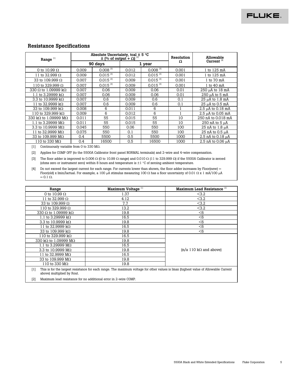#### **Resistance Specifications**

| Range <sup>[1]</sup>                                                                                                                                                                                                                                                                                                                                                                                                                                                                                                                                                         |       | Absolute Uncertainty, tcal $\pm$ 5 °C | $\pm$ (% of output + $\Omega$ ) <sup>[2]</sup> |                        | Resolution   | Allowable                                                                                                                                                |
|------------------------------------------------------------------------------------------------------------------------------------------------------------------------------------------------------------------------------------------------------------------------------------------------------------------------------------------------------------------------------------------------------------------------------------------------------------------------------------------------------------------------------------------------------------------------------|-------|---------------------------------------|------------------------------------------------|------------------------|--------------|----------------------------------------------------------------------------------------------------------------------------------------------------------|
|                                                                                                                                                                                                                                                                                                                                                                                                                                                                                                                                                                              |       | 90 days                               |                                                | 1 year                 | Ω            | Current <sup>[4]</sup>                                                                                                                                   |
| 0 to 10.99 $\Omega$                                                                                                                                                                                                                                                                                                                                                                                                                                                                                                                                                          | 0.009 | $0.008$ <sup>[3]</sup>                | 0.012                                          | $0.008$ <sup>[3]</sup> | 0.001        | 1 to 125 mA                                                                                                                                              |
| 11 to 32.999 $\Omega$                                                                                                                                                                                                                                                                                                                                                                                                                                                                                                                                                        | 0.009 | $0.015$ <sup>[3]</sup>                | 0.012                                          | $0.015$ <sup>[3]</sup> | 0.001        | 1 to 125 mA                                                                                                                                              |
| 33 to 109.999 Ω                                                                                                                                                                                                                                                                                                                                                                                                                                                                                                                                                              | 0.007 | $0.015$ <sup>[3]</sup>                | 0.009                                          | $0.015$ <sup>[3]</sup> | 0.001        | 1 to 70 mA                                                                                                                                               |
| 110 to 329.999 $\Omega$                                                                                                                                                                                                                                                                                                                                                                                                                                                                                                                                                      | 0.007 | $0.015$ <sup>[3]</sup>                | 0.009                                          | $0.015$ <sup>[3]</sup> | 0.001        | 1 to 40 mA                                                                                                                                               |
| 330 Ω to 1.09999 kΩ                                                                                                                                                                                                                                                                                                                                                                                                                                                                                                                                                          | 0.007 | 0.06                                  | 0.009                                          | 0.06                   | 0.01         | 250 µA to 18 mA                                                                                                                                          |
| 1.1 to 3.29999 kΩ                                                                                                                                                                                                                                                                                                                                                                                                                                                                                                                                                            | 0.007 | 0.06                                  | 0.009                                          | 0.06                   | 0.01         | 250 µA to 5 mA                                                                                                                                           |
| 3.3 to 10.9999 kΩ                                                                                                                                                                                                                                                                                                                                                                                                                                                                                                                                                            | 0.007 | 0.6                                   | 0.009                                          | 0.6                    | 0.1          | 25 µA to 1.8 mA                                                                                                                                          |
| 11 to 32.9999 kΩ                                                                                                                                                                                                                                                                                                                                                                                                                                                                                                                                                             | 0.007 | 0.6                                   | 0.009                                          | 0.6                    | 0.1          | 25 µA to 0.5 mA                                                                                                                                          |
| 33 to 109.999 kΩ                                                                                                                                                                                                                                                                                                                                                                                                                                                                                                                                                             | 0.008 | 6                                     | 0.011                                          | 6                      | 1            | 2.5 µA to 0.18 mA                                                                                                                                        |
| 110 to 329.999 kΩ                                                                                                                                                                                                                                                                                                                                                                                                                                                                                                                                                            | 0.009 | 6                                     | 0.012                                          | 6                      | $\mathbf{1}$ | 2.5 µA to 0.05 mA                                                                                                                                        |
| 330 kΩ to 1.09999 MΩ                                                                                                                                                                                                                                                                                                                                                                                                                                                                                                                                                         | 0.011 | 55                                    | 0.015                                          | 55                     | 10           | 250 nA to 0.018 mA                                                                                                                                       |
| 1.1 to 3.29999 MΩ                                                                                                                                                                                                                                                                                                                                                                                                                                                                                                                                                            | 0.011 | 55                                    | 0.015                                          | 55                     | 10           | 250 nA to 5 µA                                                                                                                                           |
| 3.3 to 10.9999 MΩ                                                                                                                                                                                                                                                                                                                                                                                                                                                                                                                                                            | 0.045 | 550                                   | 0.06                                           | 550                    | 100          | 25 nA to 1.8 µA                                                                                                                                          |
| 11 to 32.9999 MΩ                                                                                                                                                                                                                                                                                                                                                                                                                                                                                                                                                             | 0.075 | 550                                   | 0.1                                            | 550                    | 100          | 25 nA to 0.5 µA                                                                                                                                          |
| 33 to 109.999 MΩ                                                                                                                                                                                                                                                                                                                                                                                                                                                                                                                                                             | 0.4   | 5500                                  | 0.5                                            | 5500                   | 1000         | 2.5 nA to 0.18 µA                                                                                                                                        |
| 110 to 330 MΩ                                                                                                                                                                                                                                                                                                                                                                                                                                                                                                                                                                | 0.4   | 16500                                 | 0.5                                            | 16500                  | 1000         | 2.5 nA to 0.06 µA                                                                                                                                        |
| Applies for COMP OFF (to the 5500A Calibrator front panel NORMAL terminals) and 2-wire and 4-wire compensation.<br>$\lceil 2 \rceil$<br>$\lceil 3 \rceil$<br>(ohms zero or instrument zero) within 8 hours and temperature is $\pm 1$ °C of zeroing ambient temperature.<br>Do not exceed the largest current for each range. For currents lower than shown, the floor adder increases by Floor(new) =<br>[4]<br>Floor(old) x Imin/Iactual. For example, a 100 µA stimulus measuring 100 $\Omega$ has a floor uncertainty of 0.01 $\Omega$ x 1 mA/100 µA<br>$= 0.1 \Omega$ . |       |                                       |                                                |                        |              | The floor adder is improved to 0.006 $\Omega$ (0 to 10.99 $\Omega$ range) and 0.010 $\Omega$ (11 to 329.999 $\Omega$ ) if the 5500A Calibrator is zeroed |
| Range                                                                                                                                                                                                                                                                                                                                                                                                                                                                                                                                                                        |       |                                       | Maximum Voltage <sup>[1]</sup>                 |                        |              | Maximum Lead Resistance <sup>[2]</sup>                                                                                                                   |
| 0 to 10.99 $\Omega$                                                                                                                                                                                                                                                                                                                                                                                                                                                                                                                                                          |       |                                       | 1.37                                           |                        |              | <3.2                                                                                                                                                     |
| 11 to 32.999 Ω                                                                                                                                                                                                                                                                                                                                                                                                                                                                                                                                                               |       |                                       | 4.12                                           |                        |              | <3.2                                                                                                                                                     |
| 33 to 109.999 Ω                                                                                                                                                                                                                                                                                                                                                                                                                                                                                                                                                              |       |                                       | 7.7                                            |                        |              | <3.2                                                                                                                                                     |
| 110 to 329.999 Ω                                                                                                                                                                                                                                                                                                                                                                                                                                                                                                                                                             |       |                                       | 13.2                                           |                        |              | <3.2                                                                                                                                                     |
| 330 Ω to 1.09999 kΩ                                                                                                                                                                                                                                                                                                                                                                                                                                                                                                                                                          |       |                                       | 19.8                                           |                        |              | < 6                                                                                                                                                      |
| 1.1 to 3.29999 kΩ                                                                                                                                                                                                                                                                                                                                                                                                                                                                                                                                                            |       |                                       | 16.5                                           |                        |              | < 6                                                                                                                                                      |
| 3.3 to 10.9999 kΩ                                                                                                                                                                                                                                                                                                                                                                                                                                                                                                                                                            |       |                                       | 19.8                                           |                        |              | $<$ 6                                                                                                                                                    |
| 11 to 32.9999 kΩ                                                                                                                                                                                                                                                                                                                                                                                                                                                                                                                                                             |       |                                       | 16.5                                           |                        |              | < 6                                                                                                                                                      |
| 33 to 109.999 kΩ                                                                                                                                                                                                                                                                                                                                                                                                                                                                                                                                                             |       |                                       | 19.8                                           |                        |              | < 6                                                                                                                                                      |
| 110 to 329.999 kΩ                                                                                                                                                                                                                                                                                                                                                                                                                                                                                                                                                            |       |                                       | 16.5                                           |                        |              |                                                                                                                                                          |
| 330 kΩ to 1.09999 MΩ                                                                                                                                                                                                                                                                                                                                                                                                                                                                                                                                                         |       |                                       | 19.8                                           |                        |              |                                                                                                                                                          |
| 1.1 to 3.29999 MΩ                                                                                                                                                                                                                                                                                                                                                                                                                                                                                                                                                            |       |                                       | 16.5                                           |                        |              |                                                                                                                                                          |
| 3.3 to 10.9999 MΩ                                                                                                                                                                                                                                                                                                                                                                                                                                                                                                                                                            |       |                                       | 19.8                                           |                        |              | $(n/a 110 k\Omega$ and above)                                                                                                                            |
| 11 to 32.9999 MΩ                                                                                                                                                                                                                                                                                                                                                                                                                                                                                                                                                             |       |                                       | 16.5                                           |                        |              |                                                                                                                                                          |

110 to 330  $\text{M}\Omega$ [1] This is for the largest resistance for each range. The maximum voltage for other values is Imax (highest value of Allowable Current above) multiplied by Rout.

[2] Maximum lead resistance for no additional error in 2-wire COMP.

11 to 32.9999 MΩ 16.5<br>33 to 109.999 MΩ 19.8  $33 \text{ to } 109.999 \text{ M}\Omega$  19.8<br>110 to 330 M $\Omega$  19.8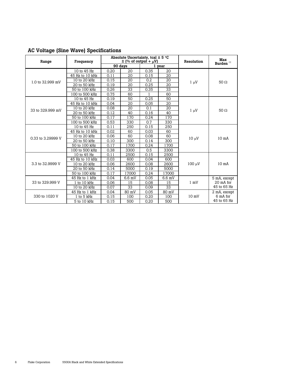### **AC Voltage (Sine Wave) Specifications**

| Range             | Frequency       |      | Absolute Uncertainty, tcal $\pm$ 5 °C<br>$\pm$ (% of output + $\mu$ V) |      |          | Resolution      | Max<br>Burden <sup>[1]</sup> |
|-------------------|-----------------|------|------------------------------------------------------------------------|------|----------|-----------------|------------------------------|
|                   |                 |      | 90 days                                                                |      | 1 year   |                 |                              |
|                   | 10 to 45 Hz     | 0.20 | 20                                                                     | 0.35 | 20       |                 |                              |
|                   | 45 Hz to 10 kHz | 0.11 | 20                                                                     | 0.15 | 20       |                 |                              |
| 1.0 to 32.999 mV  | 10 to 20 kHz    | 0.15 | 20                                                                     | 0.2  | 20       | $1 \mu V$       | 50 $\Omega$                  |
|                   | 20 to 50 kHz    | 0.19 | 20                                                                     | 0.25 | 20       |                 |                              |
|                   | 50 to 100 kHz   | 0.26 | 33                                                                     | 0.35 | 33       |                 |                              |
|                   | 100 to 500 kHz  | 0.75 | 60                                                                     | 1    | 60       |                 |                              |
|                   | 10 to 45 Hz     | 0.19 | 50                                                                     | 0.25 | 50       |                 |                              |
|                   | 45 Hz to 10 kHz | 0.04 | 20                                                                     | 0.05 | 20       |                 |                              |
| 33 to 329,999 mV  | 10 to 20 kHz    | 0.08 | 20                                                                     | 0.1  | 20       |                 | 50 $\Omega$                  |
|                   | 20 to 50 kHz    | 0.12 | 40                                                                     | 0.16 | 40       | $1 \mu V$       |                              |
|                   | 50 to 100 kHz   | 0.17 | 170                                                                    | 0.24 | 170      |                 |                              |
|                   | 100 to 500 kHz  | 0.53 | 330                                                                    | 0.7  | 330      |                 |                              |
|                   | 10 to 45 Hz     | 0.11 | 250                                                                    | 0.15 | 250      |                 | 10 mA                        |
|                   | 45 Hz to 10 kHz | 0.02 | 60                                                                     | 0.03 | 60       |                 |                              |
| 0.33 to 3.29999 V | 10 to 20 kHz    | 0.06 | 60                                                                     | 0.08 | 60       |                 |                              |
|                   | 20 to 50 kHz    | 0.10 | 300                                                                    | 0.14 | 300      | $10 \mu V$      |                              |
|                   | 50 to 100 kHz   | 0.17 | 1700                                                                   | 0.24 | 1700     |                 |                              |
|                   | 100 to 500 kHz  | 0.38 | 3300                                                                   | 0.5  | 3300     |                 |                              |
|                   | 10 to 45 Hz     | 0.11 | 2500                                                                   | 0.15 | 2500     |                 |                              |
|                   | 45 Hz to 10 kHz | 0.03 | 600                                                                    | 0.04 | 600      |                 |                              |
| 3.3 to 32.9999 V  | 10 to 20 kHz    | 0.06 | 2600                                                                   | 0.08 | 2600     | $100 \mu V$     | 10 <sub>m</sub> A            |
|                   | 20 to 50 kHz    | 0.14 | 5000                                                                   | 0.19 | 5000     |                 |                              |
|                   | 50 to 100 kHz   | 0.17 | 17000                                                                  | 0.24 | 17000    |                 |                              |
|                   | 45 Hz to 1 kHz  | 0.04 | 6.6 mV                                                                 | 0.05 | $6.6$ mV |                 | 5 mA, except                 |
| 33 to 329.999 V   | 1 to 10 kHz     | 0.06 | 15                                                                     | 0.08 | 15       | $1 \text{ mV}$  | 20 mA for                    |
|                   | 10 to 20 kHz    | 0.07 | 33                                                                     | 0.09 | 33       |                 | 45 to 65 Hz                  |
|                   | 45 Hz to 1 kHz  | 0.04 | 80 mV                                                                  | 0.05 | 80 mV    |                 | 2 mA, except                 |
| 330 to 1020 V     | 1 to 5 kHz      | 0.15 | 100                                                                    | 0.20 | 100      | $10 \text{ mV}$ | 6 mA for                     |
|                   | 5 to 10 kHz     | 0.15 | 500                                                                    | 0.20 | 500      |                 | 45 to 65 Hz                  |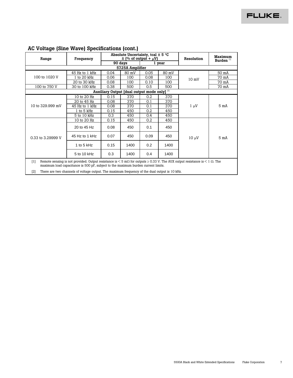| Range             | Frequency                                                                                                                                                                                                                                                                                                                                      |                                                         | Absolute Uncertainty, tcal $\pm$ 5 °C | $\pm$ (% of output + $\mu$ V) | Resolution | Maximum         |                       |  |  |  |
|-------------------|------------------------------------------------------------------------------------------------------------------------------------------------------------------------------------------------------------------------------------------------------------------------------------------------------------------------------------------------|---------------------------------------------------------|---------------------------------------|-------------------------------|------------|-----------------|-----------------------|--|--|--|
|                   |                                                                                                                                                                                                                                                                                                                                                |                                                         | 90 days                               |                               | 1 vear     |                 | Burden <sup>[1]</sup> |  |  |  |
| 5725A Amplifier   |                                                                                                                                                                                                                                                                                                                                                |                                                         |                                       |                               |            |                 |                       |  |  |  |
|                   | 45 Hz to 1 kHz                                                                                                                                                                                                                                                                                                                                 | 0.04                                                    | 80 mV                                 | 0.05                          | 80 mV      |                 | 50 mA                 |  |  |  |
| 100 to 1020 V     | 1 to 20 kHz                                                                                                                                                                                                                                                                                                                                    | 0.06                                                    | 100                                   | 0.08                          | 100        | $10 \text{ mV}$ | 70 mA                 |  |  |  |
|                   | 20 to 30 kHz                                                                                                                                                                                                                                                                                                                                   | 0.08                                                    | 100                                   | 0.10                          | 100        |                 | 70 mA                 |  |  |  |
| 100 to 750 V      | 30 to 100 kHz                                                                                                                                                                                                                                                                                                                                  | 0.38                                                    | 500                                   | 0.5                           | 500        |                 | 70 mA                 |  |  |  |
|                   |                                                                                                                                                                                                                                                                                                                                                | Auxiliary Output [dual output mode only] <sup>[2]</sup> |                                       |                               |            |                 |                       |  |  |  |
|                   | 10 to 20 Hz                                                                                                                                                                                                                                                                                                                                    | 0.15                                                    | 370                                   | 0.2                           | 370        |                 |                       |  |  |  |
|                   | 20 to 45 Hz                                                                                                                                                                                                                                                                                                                                    | 0.08                                                    | 370                                   | 0.1                           | 370        |                 | 5 mA                  |  |  |  |
| 10 to 329,999 mV  | 45 Hz to 1 kHz                                                                                                                                                                                                                                                                                                                                 | 0.08                                                    | 370                                   | 0.1                           | 370        | $1 \mu V$       |                       |  |  |  |
|                   | 1 to 5 kHz                                                                                                                                                                                                                                                                                                                                     | 0.15                                                    | 450                                   | 0.2                           | 450        |                 |                       |  |  |  |
|                   | 5 to 10 kHz                                                                                                                                                                                                                                                                                                                                    | 0.3                                                     | 450                                   | 0.4                           | 450        |                 |                       |  |  |  |
|                   | 10 to 20 Hz                                                                                                                                                                                                                                                                                                                                    | 0.15                                                    | 450                                   | 0.2                           | 450        |                 |                       |  |  |  |
|                   | 20 to 45 Hz                                                                                                                                                                                                                                                                                                                                    | 0.08                                                    | 450                                   | 0.1                           | 450        |                 |                       |  |  |  |
| 0.33 to 3.29999 V | 45 Hz to 1 kHz                                                                                                                                                                                                                                                                                                                                 | 0.07                                                    | 450                                   | 0.09                          | 450        | $10 \mu V$      | 5 mA                  |  |  |  |
|                   | 1 to 5 $kHz$                                                                                                                                                                                                                                                                                                                                   | 0.15                                                    | 1400                                  | 0.2                           | 1400       |                 |                       |  |  |  |
|                   | 5 to 10 kHz                                                                                                                                                                                                                                                                                                                                    | 0.3                                                     | 1400                                  | 0.4                           | 1400       |                 |                       |  |  |  |
| [1]<br>[2]        | Remote sensing is not provided. Output resistance is $\leq$ 5 m $\Omega$ for outputs $\geq$ 0.33 V. The AUX output resistance is $\leq$ 1 $\Omega$ . The<br>maximum load capacitance is 500 pF, subject to the maximum burden current limits.<br>There are two channels of voltage output. The maximum frequency of the dual output is 10 kHz. |                                                         |                                       |                               |            |                 |                       |  |  |  |

### **AC Voltage (Sine Wave) Specifications (cont.)**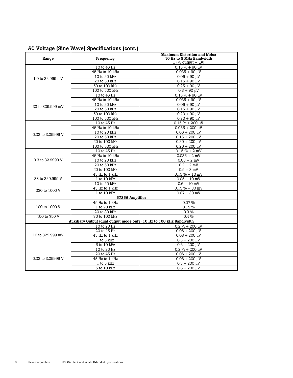### **AC Voltage (Sine Wave) Specifications (cont.)**

| Range             | Frequency                                                           | <b>Maximum Distortion and Noise</b><br>10 Hz to 5 MHz Bandwidth<br>$\pm$ (% output + $\mu$ V) |  |
|-------------------|---------------------------------------------------------------------|-----------------------------------------------------------------------------------------------|--|
|                   | 10 to 45 Hz                                                         | $0.15 \% + 90 \mu V$                                                                          |  |
|                   | 45 Hz to 10 kHz                                                     | $0.035 + 90 \text{ }\mu\text{V}$                                                              |  |
| 1.0 to 32.999 mV  | 10 to 20 kHz                                                        | $0.06 + 90 \mu V$                                                                             |  |
|                   | 20 to 50 kHz                                                        | $0.15 + 90 \mu V$                                                                             |  |
|                   | 50 to 100 kHz                                                       | $0.25 + 90 \mu V$                                                                             |  |
|                   | 100 to 500 kHz                                                      | $0.3 + 90 \mu V$                                                                              |  |
|                   | 10 to 45 Hz                                                         | $0.15 \% + 90 \mu V$                                                                          |  |
|                   | 45 Hz to 10 kHz                                                     | $0.035 + 90 \text{ uV}$                                                                       |  |
| 33 to 329.999 mV  | 10 to 20 kHz                                                        | $0.06 + 90 \mu V$                                                                             |  |
|                   | 20 to 50 kHz                                                        | $0.15 + 90 \mu V$                                                                             |  |
|                   | 50 to 100 kHz                                                       | $0.20 + 90 \mu V$                                                                             |  |
|                   | 100 to 500 kHz                                                      | $0.20 + 90 \mu V$                                                                             |  |
|                   | 10 to 45 Hz                                                         | $0.15% + 200$ uV                                                                              |  |
|                   | 45 Hz to 10 kHz                                                     | $0.035 + 200 \mu V$                                                                           |  |
|                   | 10 to 20 kHz                                                        | $0.06 + 200 \mu V$                                                                            |  |
| 0.33 to 3.29999 V | 20 to 50 kHz                                                        | $0.15 + 200 \mu V$                                                                            |  |
|                   | 50 to 100 kHz                                                       | $0.20 + 200 \mu V$                                                                            |  |
|                   | 100 to 500 kHz                                                      | $0.20 + 200 \text{ }\mu\text{V}$                                                              |  |
| 3.3 to 32.9999 V  | 10 to 45 Hz                                                         | $0.15 \% + 2 mV$                                                                              |  |
|                   | 45 Hz to 10 kHz                                                     | $0.035 + 2$ mV                                                                                |  |
|                   | 10 to 20 kHz                                                        | $0.08 + 2$ mV                                                                                 |  |
|                   | 20 to 50 kHz                                                        | $0.2 + 2$ mV                                                                                  |  |
|                   | 50 to 100 kHz                                                       | $0.5 + 2 mV$                                                                                  |  |
|                   | 45 Hz to 1 kHz                                                      | $0.15 \% + 10 mV$                                                                             |  |
| 33 to 329,999 V   | 1 to 10 kHz                                                         | $0.05 + 10$ mV                                                                                |  |
|                   | 10 to 20 kHz                                                        | $0.6 + 10$ mV                                                                                 |  |
| 330 to 1000 V     | 45 Hz to 1 kHz                                                      | $0.15 \% + 30 mV$                                                                             |  |
|                   | 1 to 10 kHz                                                         | $0.07 + 30$ mV                                                                                |  |
|                   | 5725A Amplifier                                                     |                                                                                               |  |
|                   | 45 Hz to 1 kHz                                                      | 0.07 %                                                                                        |  |
| 100 to 1000 V     | 1 to 20 kHz                                                         | 0.15%                                                                                         |  |
|                   | 20 to 30 kHz                                                        | $0.3\%$                                                                                       |  |
| 100 to 750 V      | 30 to 100 kHz                                                       | $0.4\%$                                                                                       |  |
|                   | Auxiliary Output (dual output mode only) 10 Hz to 100 kHz Bandwidth |                                                                                               |  |
|                   | 10 to 20 Hz                                                         | $0.2 \% + 200 \mu V$                                                                          |  |
|                   | 20 to 45 Hz                                                         | $0.06 + 200 \mu V$                                                                            |  |
| 10 to 329.999 mV  | 45 Hz to 1 kHz                                                      | $0.08 + 200 \text{ }\mu\text{V}$                                                              |  |
|                   | 1 to 5 kHz                                                          | $0.3 + 200 \mu V$                                                                             |  |
|                   | 5 to 10 kHz                                                         | $0.6 + 200 \mu V$                                                                             |  |
|                   | 10 to 20 Hz                                                         | $0.2 \% + 200 \mu V$                                                                          |  |
|                   | 20 to 45 Hz                                                         | $0.06 + 200 \mu V$                                                                            |  |
| 0.33 to 3.29999 V | 45 Hz to 1 kHz                                                      | $0.08 + 200 \mu V$                                                                            |  |
|                   | 1 to 5 kHz                                                          | $0.3 + 200 \mu V$                                                                             |  |
|                   | $5$ to $10$ kHz                                                     | $0.6 + 200 \mu V$                                                                             |  |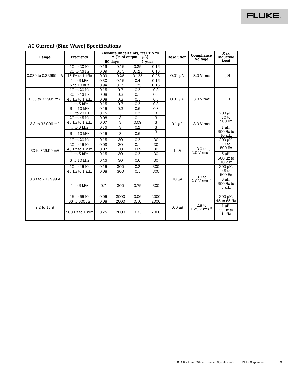#### **Absolute Uncertainty, tcal ± 5** °**C**  Range Frequency  $\pm \frac{(\% \text{ of output } + \mu \text{A})}{90 \text{ days}}$  1 year 90 days **Resolution Compliance Voltage Max Inductive Load**  10 to 20 Hz 0.19 0.15 0.25 0.15<br>20 to 45 Hz 0.09 0.15 0.125 0.15 20 to 45 Hz 0.09 0.15 0.125 0.15<br>5 Hz to 1 kHz 0.09 0.25 0.125 0.25 45 Hz to 1 kHz 1 to 5 kHz  $\begin{array}{|c|c|c|c|c|c|c|c|c|} \hline 0.15 & 0.4 & 0.15 \ \hline \end{array}$ 0.029 to 0.32999 mA 5 to 10 kHz 0.94 0.15 1.25 0.15<br>10 to 20 Hz 0.15 0.3 0.2 0.3  $0.01 \mu A$  3.0 V rms 1  $\mu$ H 10 to 20 Hz 0.15 0.3 0.2 0.3<br>20 to 45 Hz 0.08 0.3 0.1 0.3 20 to 45 Hz 45 Hz to 1 kHz 0.08 0.3 0.1 0.3 1 to 5 kHz 0.15 0.3 0.2 0.3 0.33 to 3.2999 mA 5 to 10 kHz 0.45 0.3  $0.01 \mu A$  3.0 V rms 1  $\mu$ H 10 to 20 Hz 0.15 3 0.2 3<br>20 to 45 Hz 0.08 3 0.1 3 20 to 45 Hz 0.08 3 0.1 3<br>5 Hz to 1 kHz 0.07 3 0.09 3 45 Hz to 1 kHz 200 µH,  $10<sub>to</sub>$ 500 Hz  $1 to 5 kHz$  0.15 3 0.2 3 3.3 to 32.999 mA 5 to 10 kHz 0.45 3 0.6 3  $0.1 \mu A$  3.0 V rms  $1 \mu H$ , 500 Hz to  $10$  kHz 10 to 20 Hz 0.15 30 0.2 30 20 to 45 Hz 0.08 30 0.1 30<br>5 Hz to 1 kHz 0.07 30 0.09 30 45 Hz to 1 kHz 0.07 30 0.09 30<br>1 to 5 kHz 0.15 30 0.2 30 200 µH, 10 to 500 Hz 1 to 5 kHz 0.15 30 0.2 33 to 329.99 mA 5 to 10 kHz 0.45 30 0.6 30  $1 \mu A$  3.0 to  $2.0 \text{ V} \text{ rms}^{[1]}$  $5 \mu H$ , 500 Hz to 10 kHz 10 to 45 Hz 0.15 300 0.2 300 45 Hz to 1 kHz 0.08 300 0.1 300 200 µH, 45 to  $\frac{500 \text{ Hz}}{5 \mu \text{H}}$ 0.33 to 2.19999 A 1 to 5 kHz 0.7 300 0.75 300 10  $\mu$ A 3.0 to 5  $\mu$ H, 500 Hz to 5 kHz 45 to 65 Hz 0.05 2000 0.06 2000 65 to 500 Hz 0.08 2000 0.10 2000 200 µH,  $\frac{45 \text{ to } 65 \text{ Hz}}{1 \text{ }\mu\text{H}}$ 2.2 to 11 A 500 Hz to 1 kHz 0.25 2000 0.33 2000 100 µA  $\begin{vmatrix} 2.8 \text{ to} \\ 1.25 \text{ V rms} \end{vmatrix}$   $\begin{vmatrix} 1 \text{ }\mu\text{H}, \\ 65 \text{ Hz} \end{vmatrix}$ 65 Hz to 1 kHz

#### **AC Current (Sine Wave) Specifications**

**FLUKE**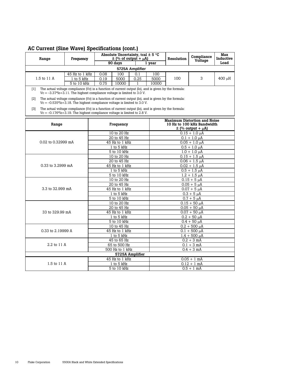| Range                                                                                                                                                                                      | Frequency                                                                                                                                                                            |      | Absolute Uncertainty, tcal $\pm$ 5 °C<br>$\pm$ (% of output + $\mu$ A) |                 |                                        | Resolution        | Compliance<br>Voltage                                                                           | Max<br>Inductive |  |  |
|--------------------------------------------------------------------------------------------------------------------------------------------------------------------------------------------|--------------------------------------------------------------------------------------------------------------------------------------------------------------------------------------|------|------------------------------------------------------------------------|-----------------|----------------------------------------|-------------------|-------------------------------------------------------------------------------------------------|------------------|--|--|
|                                                                                                                                                                                            |                                                                                                                                                                                      |      | 90 days                                                                |                 | 1 year                                 |                   |                                                                                                 | Load             |  |  |
|                                                                                                                                                                                            |                                                                                                                                                                                      |      |                                                                        | 5725A Amplifier |                                        |                   |                                                                                                 |                  |  |  |
|                                                                                                                                                                                            | 45 Hz to 1 kHz                                                                                                                                                                       | 0.08 | 100                                                                    | 0.1             | 100                                    |                   |                                                                                                 |                  |  |  |
| 1.5 to 11 A                                                                                                                                                                                | 1 to 5 kHz                                                                                                                                                                           | 0.19 | 5000                                                                   | 0.25            | 5000                                   | 100               | 3                                                                                               | 400 µH           |  |  |
|                                                                                                                                                                                            | 5 to 10 kHz                                                                                                                                                                          | 0.75 | 10000                                                                  | 1               | 10000                                  |                   |                                                                                                 |                  |  |  |
| The actual voltage compliance (Vc) is a function of current output (Io), and is given by the formula:<br>[1]<br>$Vc = -3.37*I0+3.11$ . The highest compliance voltage is limited to 3.0 V. |                                                                                                                                                                                      |      |                                                                        |                 |                                        |                   |                                                                                                 |                  |  |  |
| $\lceil 2 \rceil$                                                                                                                                                                          | The actual voltage compliance (Vc) is a function of current output (Io), and is given by the formula:<br>$Vc = -0.535*10+3.18$ . The highest compliance voltage is limited to 3.0 V. |      |                                                                        |                 |                                        |                   |                                                                                                 |                  |  |  |
| $\lceil 3 \rceil$                                                                                                                                                                          | The actual voltage compliance (Vc) is a function of current output (Io), and is given by the formula:<br>$Vc = -0.176*I0+3.19$ . The highest compliance voltage is limited to 2.8 V. |      |                                                                        |                 |                                        |                   |                                                                                                 |                  |  |  |
| Range                                                                                                                                                                                      |                                                                                                                                                                                      |      | Frequency                                                              |                 |                                        |                   | <b>Maximum Distortion and Noise</b><br>10 Hz to 100 kHz Bandwidth<br>$\pm$ (% output + $\mu$ A) |                  |  |  |
|                                                                                                                                                                                            |                                                                                                                                                                                      |      | 10 to 20 Hz                                                            |                 |                                        |                   | $0.15 + 1.0 \mu A$                                                                              |                  |  |  |
|                                                                                                                                                                                            |                                                                                                                                                                                      |      | 20 to 45 Hz                                                            |                 |                                        |                   | $0.1 + 1.0 \mu A$                                                                               |                  |  |  |
| 0.02 to 0.32999 mA                                                                                                                                                                         |                                                                                                                                                                                      |      | 45 Hz to 1 kHz                                                         |                 |                                        |                   | $0.05 + 1.0 \mu A$                                                                              |                  |  |  |
|                                                                                                                                                                                            |                                                                                                                                                                                      |      | 1 to 5 kHz                                                             |                 |                                        | $0.5 + 1.0 \mu A$ |                                                                                                 |                  |  |  |
|                                                                                                                                                                                            |                                                                                                                                                                                      |      | 5 to 10 kHz<br>10 to 20 Hz                                             |                 |                                        |                   | $1.0 + 1.0 \mu A$<br>$0.15 + 1.5 \mu A$                                                         |                  |  |  |
|                                                                                                                                                                                            |                                                                                                                                                                                      |      | 20 to 45 Hz                                                            |                 |                                        |                   | $0.06 + 1.5 \mu A$                                                                              |                  |  |  |
| 0.33 to 3.2999 mA                                                                                                                                                                          |                                                                                                                                                                                      |      | 45 Hz to 1 kHz                                                         |                 |                                        |                   | $0.02 + 1.5 \mu A$                                                                              |                  |  |  |
|                                                                                                                                                                                            |                                                                                                                                                                                      |      | 1 to 5 kHz                                                             |                 |                                        | $0.5 + 1.5 \mu A$ |                                                                                                 |                  |  |  |
|                                                                                                                                                                                            |                                                                                                                                                                                      |      | 5 to 10 kHz                                                            |                 |                                        |                   | $1.2 + 1.5 \mu A$                                                                               |                  |  |  |
|                                                                                                                                                                                            |                                                                                                                                                                                      |      | 10 to 20 Hz                                                            |                 |                                        |                   | $0.15 + 5 \mu A$                                                                                |                  |  |  |
|                                                                                                                                                                                            |                                                                                                                                                                                      |      | 20 to 45 Hz                                                            |                 | $0.05 + 5 \mu A$                       |                   |                                                                                                 |                  |  |  |
| 3.3 to 32.999 mA                                                                                                                                                                           |                                                                                                                                                                                      |      | 45 Hz to 1 kHz                                                         |                 | $0.07 + 5 \mu A$                       |                   |                                                                                                 |                  |  |  |
|                                                                                                                                                                                            |                                                                                                                                                                                      |      | 1 to 5 kHz                                                             |                 | $0.3 + 5 \mu A$                        |                   |                                                                                                 |                  |  |  |
|                                                                                                                                                                                            |                                                                                                                                                                                      |      | 5 to 10 kHz                                                            |                 |                                        |                   | $\overline{0.7} + 5 \mu A$                                                                      |                  |  |  |
|                                                                                                                                                                                            |                                                                                                                                                                                      |      | 10 to 20 Hz                                                            |                 |                                        |                   | $0.15 + 50 \mu A$                                                                               |                  |  |  |
| 33 to 329.99 mA                                                                                                                                                                            |                                                                                                                                                                                      |      | 20 to 45 Hz<br>45 Hz to 1 kHz                                          |                 | $0.05 + 50 \mu A$<br>$0.07 + 50 \mu A$ |                   |                                                                                                 |                  |  |  |
|                                                                                                                                                                                            |                                                                                                                                                                                      |      | 1 to 5 $kHz$                                                           |                 |                                        | $0.2 + 50 \mu A$  |                                                                                                 |                  |  |  |
|                                                                                                                                                                                            |                                                                                                                                                                                      |      | 5 to 10 kHz                                                            |                 |                                        |                   | $0.4 + 50 \mu A$                                                                                |                  |  |  |
|                                                                                                                                                                                            |                                                                                                                                                                                      |      | 10 to 45 Hz                                                            |                 |                                        |                   | $0.2 + 500 \mu A$                                                                               |                  |  |  |
| 0.33 to 2.19999 A                                                                                                                                                                          |                                                                                                                                                                                      |      | 45 Hz to 1 kHz                                                         |                 | $0.1 + 500 \mu A$                      |                   |                                                                                                 |                  |  |  |
|                                                                                                                                                                                            |                                                                                                                                                                                      |      | 1 to 5 kHz                                                             |                 | $1.4 + 500 \mu A$                      |                   |                                                                                                 |                  |  |  |
|                                                                                                                                                                                            |                                                                                                                                                                                      |      | 45 to 65 Hz                                                            |                 | $0.2 + 3$ mA                           |                   |                                                                                                 |                  |  |  |
| 2.2 to 11 A                                                                                                                                                                                |                                                                                                                                                                                      |      | 65 to 500 Hz                                                           |                 | $0.1 + 3$ mA                           |                   |                                                                                                 |                  |  |  |
|                                                                                                                                                                                            |                                                                                                                                                                                      |      | 500 Hz to 1 kHz                                                        |                 |                                        |                   | $0.4 + 3$ mA                                                                                    |                  |  |  |
|                                                                                                                                                                                            |                                                                                                                                                                                      |      |                                                                        | 5725A Amplifier |                                        |                   |                                                                                                 |                  |  |  |
|                                                                                                                                                                                            |                                                                                                                                                                                      |      | 45 Hz to 1 kHz                                                         |                 |                                        |                   | $0.05 + 1$ mA                                                                                   |                  |  |  |
| 1.5 to 11 A                                                                                                                                                                                |                                                                                                                                                                                      |      | 1 to 5 kHz                                                             |                 |                                        |                   | $\overline{0.1}2 + 1$ mA                                                                        |                  |  |  |
|                                                                                                                                                                                            |                                                                                                                                                                                      |      | 5 to 10 kHz                                                            |                 | $0.5 + 1$ mA                           |                   |                                                                                                 |                  |  |  |

#### **AC Current (Sine Wave) Specifications (cont.)**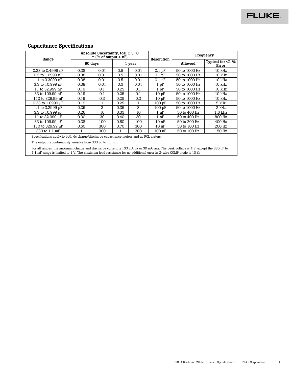### **Capacitance Specifications**

|                                                                                                                                                                                                                                                                    |                                                                                        | Absolute Uncertainty, tcal $\pm$ 5 °C<br>$\pm$ (% of output + nF) |      |        |                  | Frequency     |                                 |  |  |
|--------------------------------------------------------------------------------------------------------------------------------------------------------------------------------------------------------------------------------------------------------------------|----------------------------------------------------------------------------------------|-------------------------------------------------------------------|------|--------|------------------|---------------|---------------------------------|--|--|
| Range                                                                                                                                                                                                                                                              |                                                                                        | 90 days                                                           |      | 1 year | Resolution       | Allowed       | Typical for $\leq 1$ %<br>Error |  |  |
| 0.33 to 0.4999 nF                                                                                                                                                                                                                                                  | 0.38                                                                                   | 0.01                                                              | 0.5  | 0.01   | $0.1$ pF         | 50 to 1000 Hz | 10 kHz                          |  |  |
| 0.5 to 1.0999 nF                                                                                                                                                                                                                                                   | 0.38                                                                                   | 0.01                                                              | 0.5  | 0.01   | $0.1$ pF         | 50 to 1000 Hz | 10 kHz                          |  |  |
| 1.1 to 3.2999 nF                                                                                                                                                                                                                                                   | 0.38                                                                                   | 0.01                                                              | 0.5  | 0.01   | $0.1$ pF         | 50 to 1000 Hz | 10 kHz                          |  |  |
| 3.3 to 10.999 nF                                                                                                                                                                                                                                                   | 0.38                                                                                   | 0.01                                                              | 0.5  | 0.01   | $1$ pF           | 50 to 1000 Hz | 10 kHz                          |  |  |
| 11 to 32.999 nF                                                                                                                                                                                                                                                    | 0.19                                                                                   | 0.1                                                               | 0.25 | 0.1    | $1$ pF           | 50 to 1000 Hz | 10 kHz                          |  |  |
| 33 to 109.99 nF                                                                                                                                                                                                                                                    | 0.19                                                                                   | 0.1                                                               | 0.25 | 0.1    | 10pF             | 50 to 1000 Hz | 10 kHz                          |  |  |
| 110 to 329.99 nF                                                                                                                                                                                                                                                   | 0.19                                                                                   | 0.3                                                               | 0.25 | 0.3    | 10pF             | 50 to 1000 Hz | 10 kHz                          |  |  |
| 0.33 to 1.0999 $\mu$ F                                                                                                                                                                                                                                             | 0.19                                                                                   |                                                                   | 0.25 | 1      | 100 pF           | 50 to 1000 Hz | 5 kHz                           |  |  |
| 1.1 to $3.2999 \mu F$                                                                                                                                                                                                                                              | 0.26                                                                                   | 3                                                                 | 0.35 | 3      | 100 pF           | 50 to 1000 Hz | 2 kHz                           |  |  |
| 3.3 to 10.999 µF                                                                                                                                                                                                                                                   | 0.26                                                                                   | 10                                                                | 0.35 | 10     | $1 \text{ nF}$   | 50 to 400 Hz  | $1.5$ kHz                       |  |  |
| 11 to 32.999 uF                                                                                                                                                                                                                                                    | 0.30                                                                                   | 30                                                                | 0.40 | 30     | $1 \text{ nF}$   | 50 to 400 Hz  | 800 Hz                          |  |  |
| 33 to 109.99 µF                                                                                                                                                                                                                                                    | 0.38                                                                                   | 100                                                               | 0.50 | 100    | 10 <sub>nP</sub> | 50 to 200 Hz  | 400 Hz                          |  |  |
| 110 to 329.99 µF                                                                                                                                                                                                                                                   | 0.50                                                                                   | 300                                                               | 0.70 | 300    | 10 <sub>nP</sub> | 50 to 100 Hz  | 200 Hz                          |  |  |
| 330 to 1.1 mF                                                                                                                                                                                                                                                      |                                                                                        | 300                                                               |      | 300    | 100 nF           | 50 to 100 Hz  | 150 Hz                          |  |  |
|                                                                                                                                                                                                                                                                    | Specifications apply to both dc charge/discharge capacitance meters and ac RCL meters. |                                                                   |      |        |                  |               |                                 |  |  |
|                                                                                                                                                                                                                                                                    | The output is continuously variable from 330 pF to 1.1 mF.                             |                                                                   |      |        |                  |               |                                 |  |  |
| For all ranges, the maximum charge and discharge current is 150 mA pk or 30 mA rms. The peak voltage is 4 V, except the 330 $\mu$ F to<br>1.1 mF range is limited to 1 V. The maximum lead resistance for no additional error in 2-wire COMP mode is 10 $\Omega$ . |                                                                                        |                                                                   |      |        |                  |               |                                 |  |  |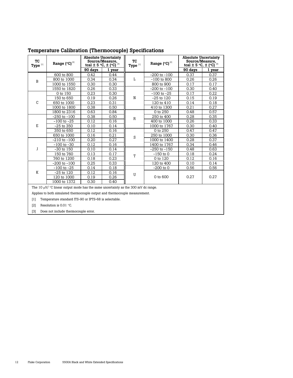| ТC<br>Type $^{[1]}$ | Range (°C) <sup>[2]</sup>                                                              |         | <b>Absolute Uncertainty</b><br>Source/Measure,<br>tcal $\pm$ 5 °C, $\pm$ (°C) <sup>[3]</sup> | ТC<br>Type $^{[1]}$ | Range (°C) <sup>[2]</sup> | <b>Absolute Uncertainty</b><br>Source/Measure,<br>tcal $\pm$ 5 °C, $\pm$ (°C) <sup>[3]</sup> |        |
|---------------------|----------------------------------------------------------------------------------------|---------|----------------------------------------------------------------------------------------------|---------------------|---------------------------|----------------------------------------------------------------------------------------------|--------|
|                     |                                                                                        | 90 days | 1 year                                                                                       |                     |                           | 90 days                                                                                      | 1 year |
|                     | 600 to 800                                                                             | 0.42    | 0.44                                                                                         |                     | $-200$ to $-100$          | 0.37                                                                                         | 0.37   |
| B                   | 800 to 1000                                                                            | 0.34    | 0.34                                                                                         | Г                   | $-100$ to 800             | 0.26                                                                                         | 0.26   |
|                     | 1000 to 1550                                                                           | 0.30    | 0.30                                                                                         |                     | 800 to 900                | 0.17                                                                                         | 0.17   |
|                     | 1550 to 1820                                                                           | 0.26    | 0.33                                                                                         |                     | $-200$ to $-100$          | 0.30                                                                                         | 0.40   |
|                     | 0 to 150                                                                               | 0.23    | 0.30                                                                                         |                     | $-100$ to $-25$           | 0.17                                                                                         | 0.22   |
|                     | 150 to 650                                                                             | 0.19    | 0.26                                                                                         | N                   | $-25$ to $120$            | 0.15                                                                                         | 0.19   |
| C                   | 650 to 1000                                                                            | 0.23    | 0.31                                                                                         |                     | 120 to 410                | 0.14                                                                                         | 0.18   |
|                     | 1000 to 1800                                                                           | 0.38    | 0.50                                                                                         |                     | 410 to 1300               | 0.21                                                                                         | 0.27   |
|                     | 1800 to 2316                                                                           | 0.63    | 0.84                                                                                         |                     | 0 to 250                  | 0.48                                                                                         | 0.57   |
|                     | $-250$ to $-100$                                                                       | 0.38    | 0.50                                                                                         | $\mathbb R$         | 250 to 400                | 0.28                                                                                         | 0.35   |
|                     | $-100$ to $-25$                                                                        | 0.12    | 0.16                                                                                         |                     | 400 to 1000               | 0.26                                                                                         | 0.33   |
| E                   | $-25$ to 350                                                                           | 0.10    | 0.14                                                                                         |                     | 1000 to 1767              | 0.30                                                                                         | 0.40   |
|                     | 350 to 650                                                                             | 0.12    | 0.16                                                                                         |                     | 0 to 250                  | 0.47                                                                                         | 0.47   |
|                     | 650 to 1000                                                                            | 0.16    | 0.21                                                                                         | S                   | 250 to 1000               | 0.30                                                                                         | 0.36   |
|                     | $-210$ to $-100$                                                                       | 0.20    | 0.27                                                                                         |                     | 1000 to 1400              | 0.28                                                                                         | 0.37   |
|                     | $-100$ to $-30$                                                                        | 0.12    | 0.16                                                                                         |                     | 1400 to 1767              | 0.34                                                                                         | 0.46   |
| J                   | $-30$ to $150$                                                                         | 0.10    | 0.14                                                                                         |                     | $-250$ to $-150$          | 0.48                                                                                         | 0.63   |
|                     | 150 to 760                                                                             | 0.13    | 0.17                                                                                         | T                   | $-150$ to 0               | 0.18                                                                                         | 0.24   |
|                     | 760 to 1200                                                                            | 0.18    | 0.23                                                                                         |                     | 0 to 120                  | 0.12                                                                                         | 0.16   |
|                     | $-200$ to $-100$                                                                       | 0.25    | 0.33                                                                                         |                     | 120 to 400                | 0.10                                                                                         | 0.14   |
|                     | $-100$ to $-25$                                                                        | 0.14    | 0.18                                                                                         |                     | $-200$ to $0$             | 0.56                                                                                         | 0.56   |
| K                   | $-25$ to $120$                                                                         | 0.12    | 0.16                                                                                         | U                   |                           |                                                                                              |        |
|                     | 120 to 1000                                                                            | 0.19    | 0.26                                                                                         |                     | 0 to 600                  | 0.27                                                                                         | 0.27   |
|                     | 1000 to 1372                                                                           | 0.30    | 0.40                                                                                         |                     |                           |                                                                                              |        |
|                     | The 10 $\mu$ V/ °C linear output mode has the same uncertainty as the 300 mV dc range. |         |                                                                                              |                     |                           |                                                                                              |        |
|                     | Applies to both simulated thermocouple output and thermocouple measurement.            |         |                                                                                              |                     |                           |                                                                                              |        |
| [1]                 | Temperature standard ITS-90 or IPTS-68 is selectable.                                  |         |                                                                                              |                     |                           |                                                                                              |        |
| [2]                 | Resolution is $0.01$ °C.                                                               |         |                                                                                              |                     |                           |                                                                                              |        |
| $[3]$               | Does not include thermocouple error.                                                   |         |                                                                                              |                     |                           |                                                                                              |        |
|                     |                                                                                        |         |                                                                                              |                     |                           |                                                                                              |        |

### **Temperature Calibration (Thermocouple) Specifications**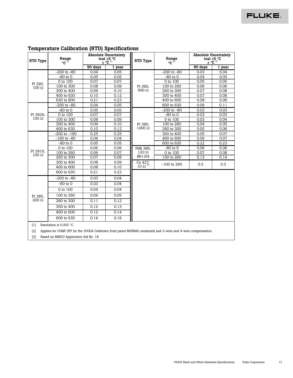#### **Absolute Uncertainty tcal** ±**5** °**C**  ± °**C** [2] **Absolute Uncertainty**   $\frac{4}{10} \times \frac{1}{10} \times \frac{1}{10} \times \frac{1}{10} \times \frac{1}{10} \times \frac{1}{10} \times \frac{1}{10} \times \frac{1}{10} \times \frac{1}{10} \times \frac{1}{10} \times \frac{1}{10} \times \frac{1}{10} \times \frac{1}{10} \times \frac{1}{10} \times \frac{1}{10} \times \frac{1}{10} \times \frac{1}{10} \times \frac{1}{10} \times \frac{1}{10} \times \frac{1}{10} \times \frac{1}{10} \times \frac{1}{10} \times$  $\text{RTD Type}$   $\begin{array}{c|c|c|c|c|c} \text{trivial} & \text{if} & \text{if} & \text{if} & \text{if} & \text{if} & \text{if} & \text{if} & \text{if} & \text{if} & \text{if} & \text{if} & \text{if} & \text{if} & \text{if} & \text{if} & \text{if} & \text{if} & \text{if} & \text{if} & \text{if} & \text{if} & \text{if} & \text{if} & \text{if} & \text{if} & \text{if} & \text{if} & \text{if} & \text{if} & \text{if} & \text{if} &$ **Range**  °**C** [1] **90 days** 1 year **RTD Type Range**  °**C** [1] **90 days 1 year**  -200 to -80  $\begin{array}{|c|c|c|c|c|c|} \hline \text{0.04} & \text{0.05} & \text{0.200 to -80} & \text{0.03} & \text{0.04} \ \hline \end{array}$ -80 to 0 | 0.05 | 0.05 **||** | -80 to 0 | 0.04 | 0.05 0 to 100 | 0.07 | 0.07 || | 0 to 100 | 0.05 | 0.05 100 to 300 | 0.08 | 0.09 | Pt 385, | 100 to 260 | 0.06 | 0.06  $300$  to  $400$  | 0.09 | 0.10 ||  $500 \Omega$  |  $260$  to  $300$  | 0.07 | 0.08  $\begin{array}{|c|c|c|c|c|c|c|c|}\hline 400 \text{ to } 630 & 0.10 & 0.12 & 300 \text{ to } 400 & 0.07 & 0.08 \\ \hline 630 \text{ to } 800 & 0.21 & 0.23 & 400 \text{ to } 600 & 0.08 & 0.09 \\ \hline \end{array}$ Pt 395,  $100 Ω$  $\begin{array}{|c|c|c|c|c|c|c|c|} \hline \text{630 to 800} & \text{0.21} & \text{0.23} \ \hline \text{-200 to -80} & \text{0.04} & \text{0.05} \ \hline \end{array}$  $-200$  to  $-80$  0.04 0.05 Pt 385, 500 Ω 600 to 630 0.09 0.11 -80 to 0 | 0.05 | 0.05 || -200 to -80 | 0.03 | 0.03 0 to 100  $\begin{array}{|c|c|c|c|c|c|c|c|} \hline \text{O} & \text{O} & \text{O} & \text{O} \end{array}$  0.07  $\begin{array}{|c|c|c|c|c|c|c|c|} \hline \text{O} & \text{O} & \text{O} & \text{O} & \text{O} \end{array}$  0.03  $\begin{array}{|c|c|c|c|c|c|c|c|} \hline \text{O} & \text{O} & \text{O} & \text{O} & \text{O} \end{array}$ 100 to 300 0.08 0.09 0.09 0.00 0.00 0.03 0.04<br>300 to 400 0.09 0.10 0.10 0.1385. 100 to 260 0.04 0.05 300 to 400 | 0.09 | 0.10 || Pt 385, | 100 to 260 | 0.04 | 0.05 Pt 3926, 100 Ω  $400$  to 630  $\parallel$  0.10  $\parallel$  0.12  $\parallel$   $1000 \Omega$  | 260 to 300  $\parallel$  0.05  $\parallel$  0.06  $-200$  to  $-190$  | 0.25 | 0.25 | 0.25 | 300 to  $400$  | 0.05 | 0.07 -190 to -80 0.04 0.04 0.04 400 to 600 0.06 0.07<br>-80 to 0 0.05 0.05 600 to 630 0.22 0.23 -80 to 0 0.05 0.05 Pt 385,  $1000 Ω$ 600 to 630 0.22 0.23 0 to 100  $\begin{array}{|c|c|c|c|c|c|c|c|} \hline \text{0.06} & \text{0.06} & \text{PtNi 385} & -80 \text{ to 0} & \text{0.06} & 0.06 \hline \end{array}$  $100$  to  $260$   $\begin{array}{|c|c|c|c|c|c|c|c|c|} \hline 0.06 & 0.07 & 120 \Omega & 0.00 & 0.00 & 0.07 & 0.08 \ \hline \end{array}$ 260 to 300 0.07 0.08 PtNi 385,  $120 Ω$ <br>(Ni120) 100 to 260 0.13 0.14 300 to 400 0.08 0.09<br>400 to 600 0.08 0.10 400 to 600 0.08  $\begin{array}{c|c}\text{Cu }427,\\ \text{10 }\Omega^{\text{[3]}}\end{array}$  -100 to 260 0.3 0.3 0.3 Pt 3916, 100 Ω 600 to 630 0.21 0.23  $-200$  to  $-80$   $\phantom{0}$  0.03  $\phantom{0}$  0.04  $-80$  to  $0$  0.03 0.04 0 to 100 0.04 0.04 100 to 260 0.04 0.05 260 to 300 0.11 0.12 300 to 400 | 0.12 | 0.13 400 to 600 0.12 0.14 Pt 385, 200 Ω 600 to 630 0.14 0.16 [1] Resolution is 0.003 °C. [2] Applies for COMP OFF (to the 5500A Calibrator front panel NORMAL terminals) and 2-wire and 4-wire compensation.

#### **Temperature Calibration (RTD) Specifications**

[3] Based on MINCO Application Aid No. 18.

**FLUKE**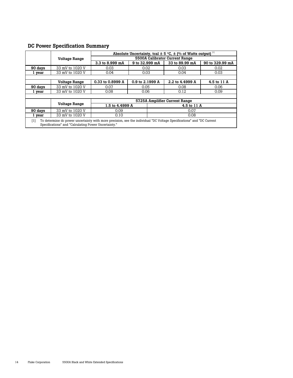### **DC Power Specification Summary**

|                                                                                                                                                                                      |                      | Absolute Uncertainty, tcal $\pm$ 5 °C, $\pm$ (% of Watts output) <sup>[1]</sup> |                 |                                |                 |  |
|--------------------------------------------------------------------------------------------------------------------------------------------------------------------------------------|----------------------|---------------------------------------------------------------------------------|-----------------|--------------------------------|-----------------|--|
|                                                                                                                                                                                      | <b>Voltage Range</b> |                                                                                 |                 | 5500A Calibrator Current Range |                 |  |
|                                                                                                                                                                                      |                      | 3.3 to 8.999 mA                                                                 | 9 to 32.999 mA  | 33 to 89.99 mA                 | 90 to 329.99 mA |  |
| 90 days                                                                                                                                                                              | 33 mV to 1020 V      | 0.03                                                                            | 0.02            | 0.03                           | 0.02            |  |
| 1 year                                                                                                                                                                               | 33 mV to 1020 V      | 0.04                                                                            | 0.03            | 0.04                           | 0.03            |  |
|                                                                                                                                                                                      |                      |                                                                                 |                 |                                |                 |  |
|                                                                                                                                                                                      | <b>Voltage Range</b> | 0.33 to 0.8999 A                                                                | 0.9 to 2.1999 A | 2.2 to 4.4999 A                | 4.5 to 11 A     |  |
| 90 days                                                                                                                                                                              | 33 mV to 1020 V      | 0.07                                                                            | 0.05            | 0.08                           | 0.06            |  |
| 1 year                                                                                                                                                                               | 33 mV to 1020 V      | 0.08                                                                            | 0.06            | 0.12                           | 0.09            |  |
|                                                                                                                                                                                      |                      |                                                                                 |                 |                                |                 |  |
|                                                                                                                                                                                      |                      |                                                                                 |                 | 5725A Amplifier Current Range  |                 |  |
|                                                                                                                                                                                      | <b>Voltage Range</b> | 1.5 to 4.4999 A                                                                 |                 | 4.5 to 11 A                    |                 |  |
| 90 days                                                                                                                                                                              | 33 mV to 1020 V      | 0.09                                                                            |                 | 0.07                           |                 |  |
| 1 year                                                                                                                                                                               | 33 mV to 1020 V      | 0.10<br>0.08                                                                    |                 |                                |                 |  |
| To determine dc power uncertainty with more precision, see the individual "DC Voltage Specifications" and "DC Current<br>[1]<br>Specifications" and "Calculating Power Uncertainty." |                      |                                                                                 |                 |                                |                 |  |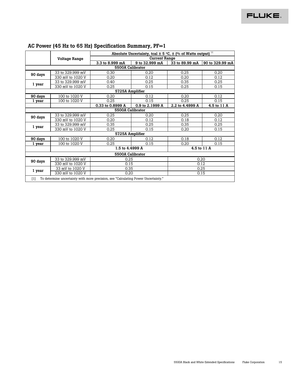|                  |                                                                                    | Absolute Uncertainty, tcal $\pm$ 5 °C, $\pm$ (% of Watts output) [1] |                      |                 |                 |  |  |  |  |
|------------------|------------------------------------------------------------------------------------|----------------------------------------------------------------------|----------------------|-----------------|-----------------|--|--|--|--|
|                  | <b>Voltage Range</b>                                                               |                                                                      | <b>Current Range</b> |                 |                 |  |  |  |  |
|                  |                                                                                    | 3.3 to 8.999 mA                                                      | 9 to 32.999 mA       | 33 to 89.99 mA  | 90 to 329.99 mA |  |  |  |  |
|                  | 5500A Calibrator                                                                   |                                                                      |                      |                 |                 |  |  |  |  |
| 90 days          | 33 to 329.999 mV                                                                   | 0.30                                                                 | 0.20                 | 0.25            | 0.20            |  |  |  |  |
|                  | 330 mV to 1020 V                                                                   | 0.20                                                                 | 0.12                 | 0.20            | 0.12            |  |  |  |  |
| 1 year           | 33 to 329.999 mV                                                                   | 0.40                                                                 | 0.25                 | 0.35            | 0.25            |  |  |  |  |
|                  | 330 mV to 1020 V                                                                   | 0.25                                                                 | 0.15                 | 0.25            | 0.15            |  |  |  |  |
|                  |                                                                                    | 5725A Amplifier                                                      |                      |                 |                 |  |  |  |  |
| 90 days          | 100 to 1020 V                                                                      | 0.20                                                                 | 0.12                 | 0.20            | 0.12            |  |  |  |  |
| 1 year           | 100 to 1020 V                                                                      | 0.25                                                                 | 0.15                 | 0.25            | 0.15            |  |  |  |  |
|                  |                                                                                    | 0.33 to 0.8999 A                                                     | 0.9 to 2.1999 A      | 2.2 to 4.4999 A | 4.5 to 11 A     |  |  |  |  |
|                  |                                                                                    | 5500A Calibrator                                                     |                      |                 |                 |  |  |  |  |
| 90 days          | 33 to 329.999 mV                                                                   | 0.25                                                                 | 0.20                 | 0.25            | 0.20            |  |  |  |  |
|                  | 330 mV to 1020 V                                                                   | 0.20                                                                 | 0.12                 | 0.18            | 0.12            |  |  |  |  |
| 1 year           | 33 to 329.999 mV                                                                   | 0.35                                                                 | 0.25                 | 0.35            | 0.25            |  |  |  |  |
|                  | 330 mV to 1020 V                                                                   | 0.25                                                                 | 0.15                 | 0.20            | 0.15            |  |  |  |  |
|                  |                                                                                    | 5725A Amplifier                                                      |                      |                 |                 |  |  |  |  |
| 90 days          | 100 to 1020 V                                                                      | 0.20                                                                 | 0.12                 | 0.18            | 0.12            |  |  |  |  |
| 1 year           | 100 to 1020 V                                                                      | 0.25                                                                 | 0.15                 | 0.20            | 0.15            |  |  |  |  |
|                  |                                                                                    | 1.5 to 4.4999 A                                                      |                      |                 | 4.5 to 11 A     |  |  |  |  |
| 5500A Calibrator |                                                                                    |                                                                      |                      |                 |                 |  |  |  |  |
| 90 days          | 33 to 329.999 mV                                                                   | 0.25                                                                 |                      | 0.20            |                 |  |  |  |  |
|                  | 330 mV to 1020 V                                                                   | 0.15                                                                 |                      | 0.12            |                 |  |  |  |  |
| 1 year           | 33 mV to 1020 V                                                                    | 0.35                                                                 |                      | 0.25            |                 |  |  |  |  |
|                  | 330 mV to 1020 V                                                                   | 0.20                                                                 |                      | 0.15            |                 |  |  |  |  |
| $[1]$            | To determine uncertainty with more precision, see "Calculating Power Uncertainty." |                                                                      |                      |                 |                 |  |  |  |  |

### **AC Power (45 Hz to 65 Hz) Specification Summary, PF=1**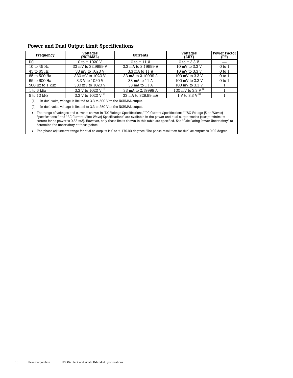#### **Power and Dual Output Limit Specifications**

| Frequency                                                               | <b>Voltages</b><br>(NORMAL) | Currents            | <b>Voltages</b><br>(AUX) | <b>Power Factor</b><br>(PF) |  |  |  |
|-------------------------------------------------------------------------|-----------------------------|---------------------|--------------------------|-----------------------------|--|--|--|
| DC                                                                      | 0 to $\pm$ 1020 V           | 0 to $\pm$ 11 A     | 0 to $\pm$ 3.3 V         |                             |  |  |  |
| 10 to 45 Hz                                                             | 33 mV to 32,9999 V          | 3.3 mA to 2.19999 A | 10 mV to 3.3 V           | $0$ to $1$                  |  |  |  |
| 45 to 65 Hz                                                             | 33 mV to 1020 V             | 3.3 mA to 11 A      | 10 mV to 3.3 V           | $0$ to $1$                  |  |  |  |
| 65 to 500 Hz                                                            | 330 mV to 1020 V            | 33 mA to 2.19999 A  | 100 mV to 3.3 V          | $0$ to $1$                  |  |  |  |
| 65 to 500 Hz                                                            | 3.3 V to 1020 V             | 33 mA to 11 A       | 100 mV to 3.3 V          | $0$ to $1$                  |  |  |  |
| 500 Hz to 1 kHz                                                         | 330 mV to 1020 V            | 33 mA to 11 A       | 100 mV to 3.3 V          |                             |  |  |  |
| 1 to 5 kHz                                                              | 3.3 V to 1020 V $^{[1]}$    | 33 mA to 2.19999 A  | 100 mV to 3.3 V $^{[1]}$ |                             |  |  |  |
| 5 to 10 kHz                                                             | 3.3 V to 1020 V $^{[2]}$    | 33 mA to 329.99 mA  | 1 V to 3.3 V $^{[2]}$    |                             |  |  |  |
| In dual volts, voltage is limited to 3.3 to 500 V in the NORMAL output. |                             |                     |                          |                             |  |  |  |

[2] In dual volts, voltage is limited to 3.3 to 250 V in the NORMAL output.

• The range of voltages and currents shown in "DC Voltage Specifications," DC Current Specifications," "AC Voltage (Sine Waves) Specifications," and "AC Current (Sine Wave) Specifications" are available in the power and dual output modes (except minimum current for ac power is 0.33 mA). However, only those limits shown in this table are specified. See "Calculating Power Uncertainty" to determine the uncertainty at these points.

• The phase adjustment range for dual ac outputs is 0 to ± 179.99 degrees. The phase resolution for dual ac outputs is 0.02 degree.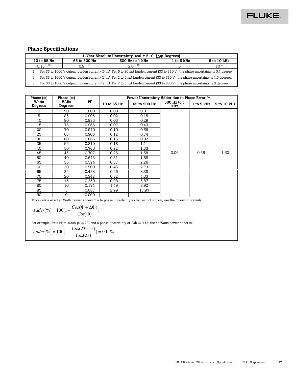### **Phase Specifications**

| 1-Year Absolute Uncertainty, tcal $\pm$ 5 °C, ( $\Delta\Phi$ Degrees)                                  |                                                                                                                                  |              |                 |            |             |  |  |
|--------------------------------------------------------------------------------------------------------|----------------------------------------------------------------------------------------------------------------------------------|--------------|-----------------|------------|-------------|--|--|
| 10 to 65 Hz                                                                                            |                                                                                                                                  | 65 to 500 Hz | 500 Hz to 1 kHz | 1 to 5 kHz | 5 to 10 kHz |  |  |
| $0.9^{\circ}$ <sup>[2]</sup><br>$0.15^{\circ}$ [1]<br>$2.0^{\circ}$ [3]<br>$6^{\circ}$<br>$10^{\circ}$ |                                                                                                                                  |              |                 |            |             |  |  |
| [1]                                                                                                    | For 33 to 1000 V output, burden current <6 mA. For 6 to 20 mA burden current (33 to 330 V), the phase uncertainty is 0.4 degree. |              |                 |            |             |  |  |
| [2]                                                                                                    | For 33 to 1000 V output, burden current <2 mA. For 2 to 5 mA burden current (33 to 330 V), the phase uncertainty is 1.5 degrees. |              |                 |            |             |  |  |
| [3]                                                                                                    | For 33 to 1000 V output, burden current <2 mA. For 2 to 5 mA burden current (33 to 330 V), the phase uncertainty is 5 degrees.   |              |                 |            |             |  |  |

| Phase $(\Phi)$                                                                                                     | Phase $(\Phi)$         |       | Power Uncertainty Adder due to Phase Error % |              |                    |            |             |
|--------------------------------------------------------------------------------------------------------------------|------------------------|-------|----------------------------------------------|--------------|--------------------|------------|-------------|
| <b>Watts</b><br>Degrees                                                                                            | <b>VARs</b><br>Degrees | PF    | 10 to 65 Hz                                  | 65 to 500 Hz | 500 Hz to 1<br>kHz | 1 to 5 kHz | 5 to 10 kHz |
| 0                                                                                                                  | 90                     | 1.000 | 0.00                                         | 0.01         |                    |            |             |
| 5                                                                                                                  | 85                     | 0.996 | 0.02                                         | 0.15         |                    |            |             |
| 10                                                                                                                 | 80                     | 0.985 | 0.05                                         | 0.29         |                    |            |             |
| 15                                                                                                                 | 75                     | 0.966 | 0.07                                         | 0.43         |                    |            |             |
| 20                                                                                                                 | 70                     | 0.940 | 0.10                                         | 0.58         |                    |            |             |
| 25                                                                                                                 | 65                     | 0.906 | 0.12                                         | 0.74         |                    |            |             |
| 30                                                                                                                 | 60                     | 0.866 | 0.15                                         | 0.92         |                    |            |             |
| 35                                                                                                                 | 55                     | 0.819 | 0.18                                         | 1.11         |                    |            |             |
| 40                                                                                                                 | 50                     | 0.766 | 0.22                                         | 1.33         |                    |            |             |
| 45                                                                                                                 | 45                     | 0.707 | 0.26                                         | 1.58         | 0.06               | 0.55       | 1.52        |
| 50                                                                                                                 | 40                     | 0.643 | 0.31                                         | 1.88         |                    |            |             |
| 55                                                                                                                 | 35                     | 0.574 | 0.37                                         | 2.26         |                    |            |             |
| 60                                                                                                                 | 30                     | 0.500 | 0.45                                         | 2.73         |                    |            |             |
| 65                                                                                                                 | 25                     | 0.423 | 0.56                                         | 3.38         |                    |            |             |
| 70                                                                                                                 | 20                     | 0.342 | 0.72                                         | 4.33         |                    |            |             |
| 75                                                                                                                 | 15                     | 0.259 | 0.98                                         | 5.87         |                    |            |             |
| 80                                                                                                                 | 10                     | 0.174 | 1.49                                         | 8.92         |                    |            |             |
| 85                                                                                                                 | 5                      | 0.087 | 2.99                                         | 17.97        |                    |            |             |
| 90                                                                                                                 | $\mathbf 0$            | 0.000 |                                              |              |                    |            |             |
| To calculate exact ac Watts power adders due to phase uncertainty for values not shown, use the following formula: |                        |       |                                              |              |                    |            |             |
| $Adder(\%) = 100(1 - \frac{Cos(\Phi + \Delta \Phi)}{Cos(\Phi)})$ .                                                 |                        |       |                                              |              |                    |            |             |

For example: for a PF of .9205 (Φ = 23) and a phase uncertainty of  $\Delta \Phi = 0.15$ , the ac Watts power adder is:

$$
Adder(\%) = 100(1 - \frac{Cos(23+15)}{Cos(23)}) = 0.11\%.
$$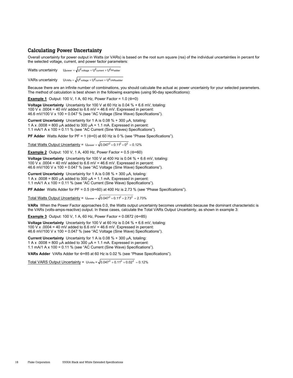#### **Calculating Power Uncertainty**

Overall uncertainty for power output in Watts (or VARs) is based on the root sum square (rss) of the individual uncertainties in percent for the selected voltage, current, and power factor parameters:

Watts uncertainty  $U_{\text{power}} = \sqrt{U_{\text{voltace}}^2 + U_{\text{current}}^2 + U_{\text{PFadder}}^2}$ 

VARs uncertainty  $U_{\text{VARS}} = \sqrt{U_{\text{voltage}}^2 + U_{\text{current}}^2 + U_{\text{VARS}^2}^2}$ 

Because there are an infinite number of combinations, you should calculate the actual ac power uncertainty for your selected parameters. The method of calculation is best shown in the following examples (using 90-day specifications):

**Example 1** Output: 100 V, 1 A, 60 Hz, Power Factor = 1.0 (Φ=0)

**Voltage Uncertainty** Uncertainty for 100 V at 60 Hz is 0.04 % + 6.6 mV, totaling: 100 V x .0004 = 40 mV added to  $6.6$  mV = 46.6 mV. Expressed in percent: 46.6 mV/100 V x 100 = 0.047 % (see "AC Voltage (Sine Wave) Specifications").

**Current Uncertainty** Uncertainty for 1 A is 0.08 % + 300 µA, totaling: 1 A x  $.0008 = 800 \mu A$  added to 300  $\mu A = 1.1 \text{ mA}$ . Expressed in percent: 1.1 mA/1 A x 100 = 0.11 % (see "AC Current (Sine Waves) Specifications").

**PF Adder** Watts Adder for PF = 1 (Φ=0) at 60 Hz is 0 % (see "Phase Specifications").

Total Watts Output Uncertainty =  $U_{power} = \sqrt{0.047^2 + 0.11^2 + 0^2} = 0.12\%$ 

**Example 2** Output: 100 V, 1 A, 400 Hz, Power Factor = 0.5 (Φ=60)

**Voltage Uncertainty** Uncertainty for 100 V at 400 Hz is 0.04 % + 6.6 mV, totaling: 100 V x .0004 = 40 mV added to  $6.6$  mV = 46.6 mV. Expressed in percent: 46.6 mV/100 V x 100 = 0.047 % (see "AC Voltage (Sine Wave) Specifications").

**Current Uncertainty** Uncertainty for 1 A is 0.08 % + 300 µA, totaling: 1 A x .0008 = 800  $\mu$ A added to 300  $\mu$ A = 1.1 mA. Expressed in percent: 1.1 mA/1 A x 100 = 0.11 % (see "AC Current (Sine Wave) Specifications").

**PF Adder** Watts Adder for PF = 0.5 (Φ=60) at 400 Hz is 2.73 % (see "Phase Specifications").

Total Watts Output Uncertainty =  $Up_{ower} = \sqrt{0.047^2 + 0.11^2 + 2.73^2} = 2.73\%$ 

**VARs** When the Power Factor approaches 0.0, the Watts output uncertainty becomes unrealistic because the dominant characteristic is the VARs (volts-amps-reactive) output. In these cases, calculate the Total VARs Output Uncertainty, as shown in example 3:

**Example 3** Output: 100 V, 1 A, 60 Hz, Power Factor = 0.0872 (Φ=85)

**Voltage Uncertainty** Uncertainty for 100 V at 60 Hz is 0.04 % + 6.6 mV, totaling: 100 V x .0004 = 40 mV added to  $6.6$  mV = 46.6 mV. Expressed in percent: 46.6 mV/100 V x 100 = 0.047 % (see "AC Voltage (Sine Wave) Specifications").

**Current Uncertainty** Uncertainty for 1 A is 0.08 % + 300 µA, totaling: 1 A x .0008 = 800  $\mu$ A added to 300  $\mu$ A = 1.1 mA. Expressed in percent: 1.1 mA/1 A x 100 = 0.11 % (see "AC Current (Sine Wave) Specifications").

**VARs Adder** VARs Adder for Φ=85 at 60 Hz is 0.02 % (see "Phase Specifications").

Total VARS Output Uncertainty =  $U_{VARS} = \sqrt{0.047^2 + 0.11^2 + 0.02^2} = 0.12\%$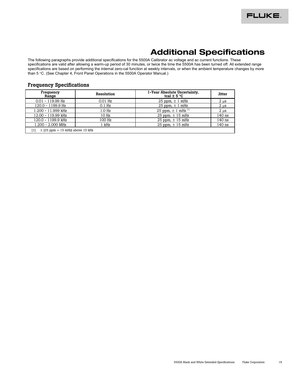## **Additional Specifications**

The following paragraphs provide additional specifications for the 5500A Calibrator ac voltage and ac current functions. These specifications are valid after allowing a warm-up period of 30 minutes, or twice the time the 5500A has been turned off. All extended range specifications are based on performing the internal zero-cal function at weekly intervals, or when the ambient temperature changes by more than 5 °C. (See Chapter 4, Front Panel Operations in the 5500A Operator Manual.)

#### **Frequency Specifications**

| Frequency<br>Range                          | Resolution        | 1-Year Absolute Uncertainty,<br>tcal $\pm$ 5 °C | <b>Jitter</b>    |  |  |
|---------------------------------------------|-------------------|-------------------------------------------------|------------------|--|--|
| $0.01 - 119.99$ Hz                          | $0.01$ Hz         | 25 ppm, $\pm$ 1 mHz                             | $2 \mu s$        |  |  |
| 120.0 - 1199.9 Hz                           | $0.1$ Hz          | 25 ppm, $\pm$ 1 mHz                             | 2 <sub>µ</sub> s |  |  |
| 1.200 - 11.999 kHz                          | 1.0 <sub>Hz</sub> | 25 ppm, $\pm$ 1 mHz $^{[1]}$                    | 2 <sub>µ</sub> s |  |  |
| 12.00 - 119.99 kHz                          | 10 Hz             | 25 ppm, $\pm$ 15 mHz                            | 140 ns           |  |  |
| 120.0 - 1199.9 kHz                          | 100 Hz            | 25 ppm, $\pm$ 15 mHz                            | 140 ns           |  |  |
| $1.200 - 2.000$ MHz                         | 1 kHz             | 25 ppm, $\pm$ 15 mHz                            | 140 ns           |  |  |
| $\pm$ (25 ppm + 15 mHz) above 10 kHz<br>[1] |                   |                                                 |                  |  |  |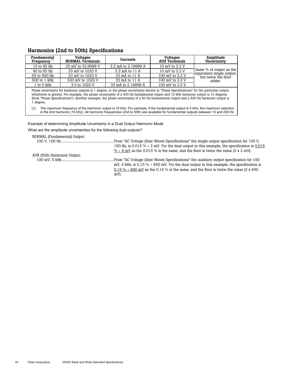### **Harmonics (2nd to 50th) Specifications**

| <b>Fundamental</b><br>Frequency $[1]$                                                                                                                                                                                                                                                                                                                                                                                         | <b>Voltages</b><br><b>NORMAL Terminals</b> | Currents            | <b>Voltages</b><br><b>AUX Terminals</b> | Amplitude<br>Uncertainty                             |  |
|-------------------------------------------------------------------------------------------------------------------------------------------------------------------------------------------------------------------------------------------------------------------------------------------------------------------------------------------------------------------------------------------------------------------------------|--------------------------------------------|---------------------|-----------------------------------------|------------------------------------------------------|--|
| 10 to 45 Hz                                                                                                                                                                                                                                                                                                                                                                                                                   | 33 mV to 32,9999 V                         | 3.3 mA to 2.19999 A | 10 mV to 3.3 V                          |                                                      |  |
| 45 to 65 Hz                                                                                                                                                                                                                                                                                                                                                                                                                   | 33 mV to 1020 V                            | 3.3 mA to 11 A      | 10 mV to 3.3 V                          | Same % of output as the<br>equivalent single output, |  |
| 65 to 500 Hz                                                                                                                                                                                                                                                                                                                                                                                                                  | 33 mV to 1020 V                            | 33 mA to 11 A       | 100 mV to 3.3 V                         | but twice the floor                                  |  |
| 500 to 1 kHz                                                                                                                                                                                                                                                                                                                                                                                                                  | 330 mV to 1020 V                           | 33 mA to 11 A       | 100 mV to 3.3 V                         | adder.                                               |  |
| 1 to 5 kHz                                                                                                                                                                                                                                                                                                                                                                                                                    | 3.3 to 1020 V                              | 33 mA to 2.19999 A  | 100 mV to 3.3 V                         |                                                      |  |
| whichever is greater. For example, the phase uncertainty of a 400 Hz fundamental output and 10 kHz harmonic output is 10 degrees<br>(from "Phase Specifications"). Another example, the phase uncertainty of a 60 Hz fundamental output and a 400 Hz harmonic output is<br>1 degree.<br>The maximum frequency of the harmonic output is 10 kHz. For example, if the fundamental output is 5 kHz, the maximum selection<br>[1] |                                            |                     |                                         |                                                      |  |
| is the 2nd harmonic (10 kHz). All harmonic frequencies (2nd to 50th) are available for fundamental outputs between 10 and 200 Hz.                                                                                                                                                                                                                                                                                             |                                            |                     |                                         |                                                      |  |
| Example of determining Amplitude Uncertainty in a Dual Output Harmonic Mode<br>What are the amplitude uncertainties for the following dual outputs?                                                                                                                                                                                                                                                                           |                                            |                     |                                         |                                                      |  |

| NORMAL (Fundamental) Output: |                                                                                              |
|------------------------------|----------------------------------------------------------------------------------------------|
|                              | . From "AC Voltage (Sine Wave) Specifications" the single output specification for 100 V.    |
|                              | 100 Hz, is 0.015 $% + 2$ mV. For the dual output in this example, the specification is 0.015 |
|                              | $\% + 4$ mV as the 0.015 % is the same, and the floor is twice the value (2 x 2 mV).         |
| AUX (50th Harmonic) Output:  |                                                                                              |
|                              | From "AC Voltage (Sine Wave) Specifications" the auxiliary output specification for 100      |
|                              | mV, 5 kHz, is $0.15\% + 450$ mV. For the dual output in this example, the specification is   |
|                              | 0.15 % + 900 mV as the 0.15 % is the same, and the floor is twice the value (2 x 450)        |
|                              | mV).                                                                                         |
|                              |                                                                                              |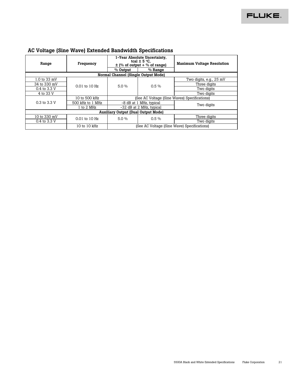| Range                                      | Frequency         | 1-Year Absolute Uncertainty,<br>tcal $\pm$ 5 °C.<br>$\pm$ (% of output + % of range) |                                              |                         |  | <b>Maximum Voltage Resolution</b> |
|--------------------------------------------|-------------------|--------------------------------------------------------------------------------------|----------------------------------------------|-------------------------|--|-----------------------------------|
|                                            |                   | % Output                                                                             | $%$ Range                                    |                         |  |                                   |
| Normal Channel (Single Output Mode)        |                   |                                                                                      |                                              |                         |  |                                   |
| 1.0 to 33 mV                               |                   |                                                                                      |                                              | Two digits, e.g., 25 mV |  |                                   |
| 34 to 330 mV                               | $0.01$ to $10$ Hz | $5.0\%$                                                                              | $0.5\%$                                      | Three digits            |  |                                   |
| 0.4 to 3.3 V                               |                   |                                                                                      |                                              | Two digits              |  |                                   |
| 4 to 33 V                                  |                   |                                                                                      |                                              | Two digits              |  |                                   |
|                                            | 10 to 500 kHz     |                                                                                      | (See AC Voltage (Sine Waves) Specifications) |                         |  |                                   |
| 0.3 to 3.3 V                               | 500 kHz to 1 MHz  | -8 dB at 1 MHz, typical                                                              |                                              | Two digits              |  |                                   |
|                                            | 1 to 2 MHz        | -32 dB at 2 MHz, typical                                                             |                                              |                         |  |                                   |
| <b>Auxiliary Output (Dual Output Mode)</b> |                   |                                                                                      |                                              |                         |  |                                   |
| 10 to 330 mV                               | $0.01$ to $10$ Hz | $5.0\%$                                                                              | $0.5\%$                                      | Three digits            |  |                                   |
| 0.4 to 3.3 V                               |                   |                                                                                      |                                              | Two digits              |  |                                   |
|                                            | 10 to 10 kHz      |                                                                                      | (See AC Voltage (Sine Wave) Specifications)  |                         |  |                                   |

#### **AC Voltage (Sine Wave) Extended Bandwidth Specifications**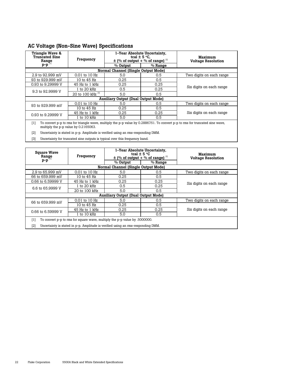| <b>Triangle Wave &amp;</b><br><b>Truncated Sine</b><br>Range<br>$p-p$                                                                                                       | Frequency              | 1-Year Absolute Uncertainty,<br>tcal $\pm$ 5 °C.<br>$\pm$ (% of output + % of range) $^{[2]}$ |           | Maximum<br><b>Voltage Resolution</b> |  |
|-----------------------------------------------------------------------------------------------------------------------------------------------------------------------------|------------------------|-----------------------------------------------------------------------------------------------|-----------|--------------------------------------|--|
|                                                                                                                                                                             |                        | % Output<br>Normal Channel (Single Output Mode)                                               | $%$ Range |                                      |  |
|                                                                                                                                                                             |                        |                                                                                               |           |                                      |  |
| 2.9 to 92.999 mV                                                                                                                                                            | $0.01$ to $10$ Hz      | 5.0                                                                                           | 0.5       | Two digits on each range             |  |
| 93 to 929.999 mV                                                                                                                                                            | 10 to 45 Hz            | 0.25                                                                                          | 0.5       |                                      |  |
| 0.93 to 9.29999 V                                                                                                                                                           | 45 Hz to 1 kHz         | 0.25                                                                                          | 0.25      |                                      |  |
| 9.3 to 92,9999 V                                                                                                                                                            | 1 to 20 kHz            | 0.5                                                                                           | 0.25      | Six digits on each range             |  |
|                                                                                                                                                                             | 20 to 100 kHz $^{[3]}$ | 5.0                                                                                           | 0.5       |                                      |  |
|                                                                                                                                                                             |                        | <b>Auxiliary Output (Dual Output Mode)</b>                                                    |           |                                      |  |
| 93 to 929,999 mV                                                                                                                                                            | $0.01$ to $10$ Hz      | 5.0                                                                                           | 0.5       | Two digits on each range             |  |
|                                                                                                                                                                             | 10 to 45 Hz            | 0.25                                                                                          | 0.5       |                                      |  |
| 0.93 to 9.29999 V                                                                                                                                                           | 45 Hz to 1 kHz         | 0.25                                                                                          | 0.25      | Six digits on each range             |  |
|                                                                                                                                                                             | 1 to 10 kHz            | 5.0                                                                                           | 0.5       |                                      |  |
| To convert p-p to rms for triangle wave, multiply the p-p value by 0.2886751. To convert p-p to rms for truncated sine wave,<br>[1]<br>multiply the p-p value by 0.2165063. |                        |                                                                                               |           |                                      |  |

#### **AC Voltage (Non-Sine Wave) Specifications**

[2] Uncertainty is stated in p-p. Amplitude is verified using an rms-responding DMM.

[3] Uncertainty for truncated sine outputs is typical over this frequency band.

| <b>Square Wave</b><br>Range                                                                                                                                                    | Frequency        | 1-Year Absolute Uncertainty,<br>tcal $\pm$ 5 °C<br>$\pm$ (% of output + % of range) $^{[2]}$ |           | Maximum<br><b>Voltage Resolution</b> |  |
|--------------------------------------------------------------------------------------------------------------------------------------------------------------------------------|------------------|----------------------------------------------------------------------------------------------|-----------|--------------------------------------|--|
| $p-p$                                                                                                                                                                          |                  | $%$ Output                                                                                   | $%$ Range |                                      |  |
|                                                                                                                                                                                |                  | Normal Channel (Single Output Mode)                                                          |           |                                      |  |
| 2.9 to 65.999 mV                                                                                                                                                               | 0.01 to 10 Hz    | 5.0                                                                                          | 0.5       | Two digits on each range             |  |
| 66 to 659.999 mV                                                                                                                                                               | 10 to 45 Hz      | 0.25                                                                                         | 0.5       |                                      |  |
| 0.66 to 6.59999 V                                                                                                                                                              | $45$ Hz to 1 kHz | 0.25                                                                                         | 0.25      | Six digits on each range             |  |
| 6.6 to 65.9999 V                                                                                                                                                               | 1 to 20 kHz      | 0.5                                                                                          | 0.25      |                                      |  |
|                                                                                                                                                                                | 20 to 100 kHz    | 5.0                                                                                          | 0.5       |                                      |  |
|                                                                                                                                                                                |                  | <b>Auxiliary Output (Dual Output Mode)</b>                                                   |           |                                      |  |
| 66 to 659.999 mV                                                                                                                                                               | 0.01 to 10 Hz    | 5.0                                                                                          | 0.5       | Two digits on each range             |  |
|                                                                                                                                                                                | 10 to 45 Hz      | 0.25                                                                                         | 0.5       |                                      |  |
| 0.66 to 6.59999 V                                                                                                                                                              | 45 Hz to 1 kHz   | 0.25                                                                                         | 0.25      | Six digits on each range             |  |
|                                                                                                                                                                                | $1$ to $10$ kHz  | 5.0                                                                                          | 0.5       |                                      |  |
| To convert p-p to rms for square wave, multiply the p-p value by .5000000.<br>[1]<br>$[2]$<br>Uncertainty is stated in p-p. Amplitude is verified using an rms-responding DMM. |                  |                                                                                              |           |                                      |  |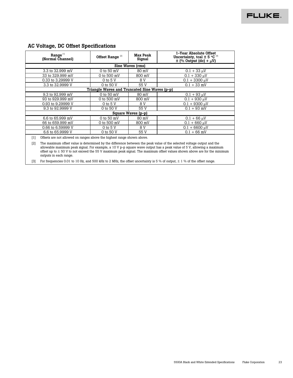|       | Range <sup>[1]</sup><br>(Normal Channel)                                                                                                                                                                                                                                                                                                                                                                   | Offset Range $[2]$                            | <b>Max Peak</b><br>Signal | 1-Year Absolute Offset<br>Uncertainty, tcal $\pm$ 5 °C $^{[3]}$<br>$\pm$ (% Output (dc) + $\mu$ V) |  |  |  |
|-------|------------------------------------------------------------------------------------------------------------------------------------------------------------------------------------------------------------------------------------------------------------------------------------------------------------------------------------------------------------------------------------------------------------|-----------------------------------------------|---------------------------|----------------------------------------------------------------------------------------------------|--|--|--|
|       | Sine Waves (rms)                                                                                                                                                                                                                                                                                                                                                                                           |                                               |                           |                                                                                                    |  |  |  |
|       | 3.3 to 32.999 mV                                                                                                                                                                                                                                                                                                                                                                                           | $0$ to $50$ mV                                | 80 mV                     | $0.1 + 33 \mu V$                                                                                   |  |  |  |
|       | 33 to 329.999 mV                                                                                                                                                                                                                                                                                                                                                                                           | 0 to 500 mV                                   | 800 mV                    | $0.1 + 330 \text{ uV}$                                                                             |  |  |  |
|       | 0.33 to 3.29999 V                                                                                                                                                                                                                                                                                                                                                                                          | $0$ to $5$ V                                  | 8 V                       | $0.1 + 3300 \text{ }\mu\text{V}$                                                                   |  |  |  |
|       | 3.3 to 32.9999 V                                                                                                                                                                                                                                                                                                                                                                                           | 0 to 50 V                                     | 55 V                      | $0.1 + 33$ mV                                                                                      |  |  |  |
|       |                                                                                                                                                                                                                                                                                                                                                                                                            | Triangle Waves and Truncated Sine Waves (p-p) |                           |                                                                                                    |  |  |  |
|       | 9.3 to 92.999 mV                                                                                                                                                                                                                                                                                                                                                                                           | $0$ to $50$ mV                                | 80 mV                     | $0.1 + 93 \mu V$                                                                                   |  |  |  |
|       | 93 to 929.999 mV                                                                                                                                                                                                                                                                                                                                                                                           | 0 to 500 mV                                   | 800 mV                    | $0.1 + 930 \text{ uV}$                                                                             |  |  |  |
|       | 0.93 to 9.29999 V                                                                                                                                                                                                                                                                                                                                                                                          | $0$ to $5$ V                                  | 8 V                       | $0.1 + 9300 \text{ }\mu\text{V}$                                                                   |  |  |  |
|       | 9.3 to 92.9999 V                                                                                                                                                                                                                                                                                                                                                                                           | 0 to 50 V                                     | 55 V                      | $0.1 + 93$ mV                                                                                      |  |  |  |
|       |                                                                                                                                                                                                                                                                                                                                                                                                            |                                               | Square Waves (p-p)        |                                                                                                    |  |  |  |
|       | 6.6 to 65.999 mV                                                                                                                                                                                                                                                                                                                                                                                           | 0 to 50 mV                                    | 80 mV                     | $0.1 + 66 \mu V$                                                                                   |  |  |  |
|       | 66 to 659.999 mV                                                                                                                                                                                                                                                                                                                                                                                           | 0 to 500 mV                                   | 800 mV                    | $0.1 + 660$ uV                                                                                     |  |  |  |
|       | 0.66 to 6.59999 V                                                                                                                                                                                                                                                                                                                                                                                          | $0$ to $5$ V                                  | 8 V                       | $0.1 + 6600 \mu V$                                                                                 |  |  |  |
|       | 6.6 to 65.9999 V                                                                                                                                                                                                                                                                                                                                                                                           | 0 to 50 V                                     | 55 V                      | $0.1 + 66$ mV                                                                                      |  |  |  |
| $[1]$ | Offsets are not allowed on ranges above the highest range shown above.                                                                                                                                                                                                                                                                                                                                     |                                               |                           |                                                                                                    |  |  |  |
| [2]   | The maximum offset value is determined by the difference between the peak value of the selected voltage output and the<br>allowable maximum peak signal. For example, a 10 V p-p square wave output has a peak value of 5 V, allowing a maximum<br>offset up to $\pm$ 50 V to not exceed the 55 V maximum peak signal. The maximum offset values shown above are for the minimum<br>outputs in each range. |                                               |                           |                                                                                                    |  |  |  |

[3] For frequencies 0.01 to 10 Hz, and 500 kHz to 2 MHz, the offset uncertainty is 5 % of output,  $\pm$  1 % of the offset range.

#### **AC Voltage, DC Offset Specifications**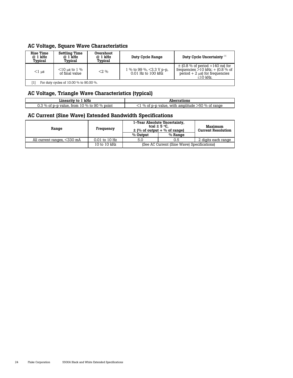#### **AC Voltage, Square Wave Characteristics**

| Rise Time<br>@ 1 kHz<br>Typical | Settling Time<br>@ 1 kHz<br>Typical    | Overshoot<br>@ 1 kHz<br>Typical | Duty Cycle Range                                         | Duty Cycle Uncertainty <sup>[1]</sup>                                                                                              |
|---------------------------------|----------------------------------------|---------------------------------|----------------------------------------------------------|------------------------------------------------------------------------------------------------------------------------------------|
| $<1$ us                         | $\leq$ 10 us to 1 %<br>of final value  | $2\%$                           | 1 % to 99 %, $\leq$ 3.3 V p-p,<br>$0.01$ Hz to $100$ kHz | $\pm$ (0.8 % of period +140 ns) for<br>frequencies $>10$ kHz; $+$ (0.8 % of<br>period $+2$ $\mu$ s) for frequencies<br>$<$ 10 kHz. |
|                                 | For duty cycles of 10.00 % to 90.00 %. |                                 |                                                          |                                                                                                                                    |

| AC Voltage, Triangle Wave Characteristics (typical) |                                                           |  |
|-----------------------------------------------------|-----------------------------------------------------------|--|
| Linearity to 1 kHz                                  | <b>Aberrations</b>                                        |  |
| 0.3 % of p-p value, from 10 % to 90 % point         | $\leq$ 1 % of p-p value, with amplitude $>$ 50 % of range |  |

#### **AC Current (Sine Wave) Extended Bandwidth Specifications**

| Range                          | Frequency         | 1-Year Absolute Uncertainty,<br>tcal $\pm$ 5 °C.<br>$\pm$ (% of output + % of range) |                                             | Maximum<br><b>Current Resolution</b> |
|--------------------------------|-------------------|--------------------------------------------------------------------------------------|---------------------------------------------|--------------------------------------|
|                                |                   | % Output                                                                             | $%$ Range                                   |                                      |
| All current ranges, $<$ 330 mA | $0.01$ to $10$ Hz | 5.0                                                                                  | 0.5                                         | 2 digits each range                  |
|                                | 10 to 10 kHz      |                                                                                      | (See AC Current (Sine Wave) Specifications) |                                      |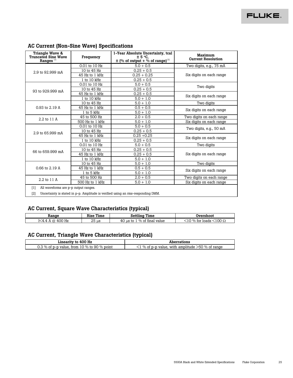| Triangle Wave &<br>Truncated Sine Wave<br>Ranges <sup>[1]</sup> | Frequency       | 1-Year Absolute Uncertainty, tcal<br>± 5 °C.<br>$\pm$ (% of output + % of range) <sup>[2]</sup> | Maximum<br><b>Current Resolution</b> |  |
|-----------------------------------------------------------------|-----------------|-------------------------------------------------------------------------------------------------|--------------------------------------|--|
|                                                                 | 0.01 to 10 Hz   | $5.0 + 0.5$                                                                                     | Two digits, e.g., 75 mA              |  |
| 2.9 to 92.999 mA                                                | 10 to 45 Hz     | $0.25 + 0.5$                                                                                    |                                      |  |
|                                                                 | 45 Hz to 1 kHz  | $0.25 + 0.25$                                                                                   | Six digits on each range             |  |
|                                                                 | 1 to 10 kHz     | $0.25 + 0.5$                                                                                    |                                      |  |
|                                                                 | 0.01 to 10 Hz   | $5.0 + 0.5$                                                                                     | Two digits                           |  |
| 93 to 929,999 mA                                                | 10 to 45 Hz     | $0.25 + 0.5$                                                                                    |                                      |  |
|                                                                 | 45 Hz to 1 kHz  | $0.25 + 0.5$                                                                                    | Six digits on each range             |  |
|                                                                 | 1 to 10 kHz     | $5.0 + 1.0$                                                                                     |                                      |  |
|                                                                 | 10 to 45 Hz     | $5.0 + 1.0$                                                                                     | Two digits                           |  |
| 0.93 to 2.19 A                                                  | 45 Hz to 1 kHz  | $0.5 + 0.5$                                                                                     |                                      |  |
|                                                                 | 1 to 5 kHz      | $5.0 + 1.0$                                                                                     | Six digits on each range             |  |
| 2.2 to 11 A                                                     | 45 to 500 Hz    | $2.0 + 0.5$                                                                                     | Two digits on each range             |  |
|                                                                 | 500 Hz to 1 kHz | $5.0 + 1.0$                                                                                     | Six digits on each range             |  |
|                                                                 | 0.01 to 10 Hz   | $5.0 + 0.5$                                                                                     |                                      |  |
| 2.9 to 65.999 mA                                                | 10 to 45 Hz     | $0.25 + 0.5$                                                                                    | Two digits, e.g., 50 mA              |  |
|                                                                 | 45 Hz to 1 kHz  | $0.25 + 0.25$                                                                                   | Six digits on each range             |  |
|                                                                 | 1 to 10 kHz     | $0.25 + 0.5$                                                                                    |                                      |  |
|                                                                 | 0.01 to 10 Hz   | $5.0 + 0.5$                                                                                     | Two digits                           |  |
| 66 to 659,999 mA                                                | 10 to 45 Hz     | $0.25 + 0.5$                                                                                    |                                      |  |
|                                                                 | 45 Hz to 1 kHz  | $0.25 + 0.5$                                                                                    | Six digits on each range             |  |
|                                                                 | 1 to 10 kHz     | $5.0 + 1.0$                                                                                     |                                      |  |
|                                                                 | 10 to 45 Hz     | $5.0 + 1.0$                                                                                     | Two digits                           |  |
| 0.66 to 2.19 A                                                  | 45 Hz to 1 kHz  | $0.5 + 0.5$                                                                                     | Six digits on each range             |  |
|                                                                 | 1 to 5 kHz      | $5.0 + 1.0$                                                                                     |                                      |  |
| 2.2 to 11 A                                                     | 45 to 500 Hz    | $2.0 + 0.5$                                                                                     | Two digits on each range             |  |
|                                                                 | 500 Hz to 1 kHz | $5.0 + 1.0$                                                                                     | Six digits on each range             |  |
| All waveforms are p-p output ranges.<br>[1]<br>[2]              |                 | Uncertainty is stated in p-p. Amplitude is verified using an rms-responding DMM.                |                                      |  |

#### **AC Current (Non-Sine Wave) Specifications**

### **AC Current, Square Wave Characteristics (typical)**

| Range                          | Rise Time | Settling Time                  | Overshoot                                              |
|--------------------------------|-----------|--------------------------------|--------------------------------------------------------|
| 400 Hz<br>I $<$ 4.4 A $\omega$ | 25 us     | $40$ us to<br>% of final value | $100\ \Omega$<br>$\langle$ 10 % for $\rangle$<br>loads |

#### **AC Current, Triangle Wave Characteristics (typical)**

| Linearity to 400 Hz                         | Aberrations                                                 |
|---------------------------------------------|-------------------------------------------------------------|
| 0.3 % of p-p value, from 10 % to 90 % point | $^{\circ}$ % of p-p value, with amplitude $>$ 50 % of range |